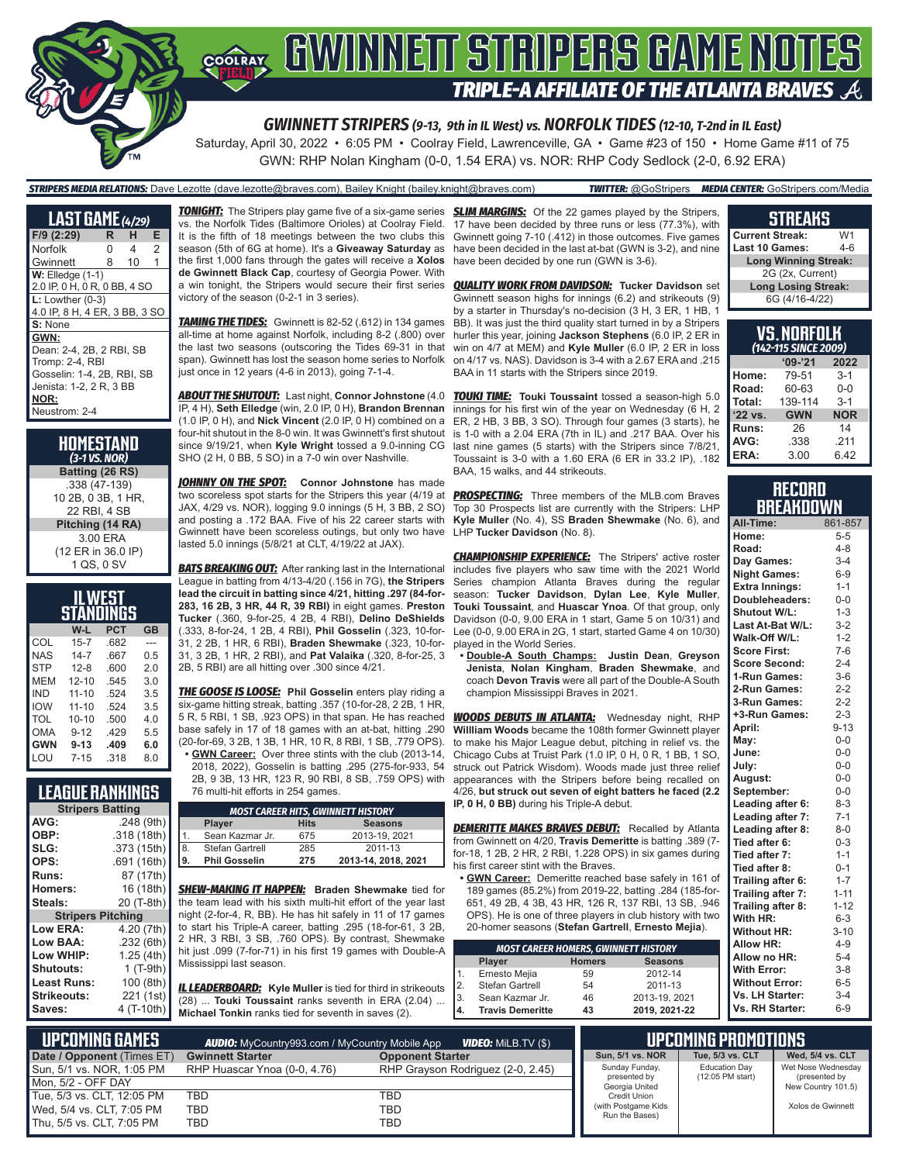

GWN: RHP Nolan Kingham (0-0, 1.54 ERA) vs. NOR: RHP Cody Sedlock (2-0, 6.92 ERA)

#### *STRIPERS MEDIA RELATIONS:* Dave Lezotte (dave.lezotte@braves.com), Bailey Knight (bailey.knight@braves.com) *TWITTER:* @GoStripers *MEDIA CENTER:* GoStripers.com/Media

| <b>LAST GAME</b> (4/29)       |   |                |   |
|-------------------------------|---|----------------|---|
| F/9 (2:29)                    | R | н              | Е |
| Norfolk                       | 0 | $\overline{4}$ | 2 |
| Gwinnett                      | 8 | 10             | 1 |
| $W:$ Elledge $(1-1)$          |   |                |   |
| 2.0 IP, 0 H, 0 R, 0 BB, 4 SO  |   |                |   |
| $L:$ Lowther $(0-3)$          |   |                |   |
| 4.0 IP, 8 H, 4 ER, 3 BB, 3 SO |   |                |   |
| S: None                       |   |                |   |
| GWN:                          |   |                |   |
| Dean: 2-4, 2B, 2 RBI, SB      |   |                |   |
| Tromp: 2-4, RBI               |   |                |   |
| Gosselin: 1-4, 2B, RBI, SB    |   |                |   |
| Jenista: 1-2, 2 R, 3 BB       |   |                |   |
| NOR:                          |   |                |   |
| Neustrom: 2-4                 |   |                |   |

| HOMESTAND<br>$(3-1)$ VS. NOR)                       |
|-----------------------------------------------------|
| Batting (26 RS)                                     |
| .338 (47-139)<br>10 2B, 0 3B, 1 HR,<br>22 RBI, 4 SB |
| Pitching (14 RA)                                    |
| 3.00 ERA<br>(12 ER in 36.0 IP)<br>1 QS, 0 SV        |

| IL WEST<br>STANDINGS |           |      |           |
|----------------------|-----------|------|-----------|
|                      | W-L       | PCT  | <b>GB</b> |
| COL                  | $15 - 7$  | .682 |           |
| <b>NAS</b>           | $14 - 7$  | .667 | 0.5       |
| <b>STP</b>           | $12-8$    | .600 | 2.0       |
| MFM                  | $12 - 10$ | .545 | 3.0       |
| IND                  | $11 - 10$ | .524 | 3.5       |
| <b>IOW</b>           | $11 - 10$ | 524  | 3.5       |
| TOL                  | $10 - 10$ | .500 | 4.0       |
| OMA                  | $9 - 12$  | .429 | 5.5       |
| <b>GWN</b>           | $9-13$    | .409 | 6.0       |
| LOU                  | $7 - 15$  | .318 | 8.0       |

### **LEAGUE RANKINGS**

| <b>Stripers Batting</b>  |             |  |
|--------------------------|-------------|--|
| AVG:                     | .248 (9th)  |  |
| OBP:                     | .318 (18th) |  |
| SLG:                     | .373 (15th) |  |
| OPS:                     | .691 (16th) |  |
| <b>Runs:</b>             | 87 (17th)   |  |
| <b>Homers:</b>           | 16 (18th)   |  |
| Steals:                  | 20 (T-8th)  |  |
| <b>Stripers Pitching</b> |             |  |
| Low ERA:                 | 4.20 (7th)  |  |
| Low BAA:                 | .232(6th)   |  |
| Low WHIP:                | 1.25 (4th)  |  |
| <b>Shutouts:</b>         | $1(T-9th)$  |  |
| Least Runs:              | 100 (8th)   |  |
| Strikeouts:              | 221 (1st)   |  |
| Saves:                   | 4 (T-10th)  |  |

*TONIGHT:* The Stripers play game five of a six-game series vs. the Norfolk Tides (Baltimore Orioles) at Coolray Field. It is the fifth of 18 meetings between the two clubs this season (5th of 6G at home). It's a **Giveaway Saturday** as the first 1,000 fans through the gates will receive a **Xolos de Gwinnett Black Cap**, courtesy of Georgia Power. With a win tonight, the Stripers would secure their first series victory of the season (0-2-1 in 3 series).

**TAMING THE TIDES:** Gwinnett is 82-52 (.612) in 134 games all-time at home against Norfolk, including 8-2 (.800) over the last two seasons (outscoring the Tides 69-31 in that span). Gwinnett has lost the season home series to Norfolk just once in 12 years (4-6 in 2013), going 7-1-4.

*ABOUT THE SHUTOUT:* Last night, **Connor Johnstone** (4.0 IP, 4 H), **Seth Elledge** (win, 2.0 IP, 0 H), **Brandon Brennan** (1.0 IP, 0 H), and **Nick Vincent** (2.0 IP, 0 H) combined on a four-hit shutout in the 8-0 win. It was Gwinnett's first shutout since 9/19/21, when **Kyle Wright** tossed a 9.0-inning CG SHO (2 H, 0 BB, 5 SO) in a 7-0 win over Nashville.

**JOHNNY ON THE SPOT:** Connor Johnstone has made two scoreless spot starts for the Stripers this year (4/19 at JAX, 4/29 vs. NOR), logging 9.0 innings (5 H, 3 BB, 2 SO) and posting a .172 BAA. Five of his 22 career starts with Gwinnett have been scoreless outings, but only two have lasted 5.0 innings (5/8/21 at CLT, 4/19/22 at JAX).

**BATS BREAKING OUT:** After ranking last in the International League in batting from 4/13-4/20 (.156 in 7G), **the Stripers lead the circuit in batting since 4/21, hitting .297 (84-for-283, 16 2B, 3 HR, 44 R, 39 RBI)** in eight games. **Preston Tucker** (.360, 9-for-25, 4 2B, 4 RBI), **Delino DeShields** (.333, 8-for-24, 1 2B, 4 RBI), **Phil Gosselin** (.323, 10-for-31, 2 2B, 1 HR, 6 RBI), **Braden Shewmake** (.323, 10-for-31, 3 2B, 1 HR, 2 RBI), and **Pat Valaika** (.320, 8-for-25, 3 2B, 5 RBI) are all hitting over .300 since 4/21.

*THE GOOSE IS LOOSE:* **Phil Gosselin** enters play riding a six-game hitting streak, batting .357 (10-for-28, 2 2B, 1 HR, 5 R, 5 RBI, 1 SB, .923 OPS) in that span. He has reached base safely in 17 of 18 games with an at-bat, hitting .290 (20-for-69, 3 2B, 1 3B, 1 HR, 10 R, 8 RBI, 1 SB, .779 OPS). **• GWN Career:** Over three stints with the club (2013-14,

2018, 2022), Gosselin is batting .295 (275-for-933, 54 2B, 9 3B, 13 HR, 123 R, 90 RBI, 8 SB, .759 OPS) with 76 multi-hit efforts in 254 games.

| <b>MOST CAREER HITS, GWINNETT HISTORY</b> |                      |             |                     |
|-------------------------------------------|----------------------|-------------|---------------------|
|                                           | <b>Player</b>        | <b>Hits</b> | <b>Seasons</b>      |
|                                           | Sean Kazmar Jr.      | 675         | 2013-19, 2021       |
| 18.                                       | Stefan Gartrell      | 285         | 2011-13             |
| 19.                                       | <b>Phil Gosselin</b> | 275         | 2013-14, 2018, 2021 |

*SHEW-MAKING IT HAPPEN:* **Braden Shewmake** tied for the team lead with his sixth multi-hit effort of the year last night (2-for-4, R, BB). He has hit safely in 11 of 17 games to start his Triple-A career, batting .295 (18-for-61, 3 2B, 2 HR, 3 RBI, 3 SB, .760 OPS). By contrast, Shewmake hit just .099 (7-for-71) in his first 19 games with Double-A Mississippi last season.

*IL LEADERBOARD:* **Kyle Muller** is tied for third in strikeouts (28) ... **Touki Toussaint** ranks seventh in ERA (2.04) ... **Michael Tonkin** ranks tied for seventh in saves (2).

**SLIM MARGINS:** Of the 22 games played by the Stripers, 17 have been decided by three runs or less (77.3%), with Gwinnett going 7-10 (.412) in those outcomes. Five games have been decided in the last at-bat (GWN is 3-2), and nine have been decided by one run (GWN is 3-6).

*QUALITY WORK FROM DAVIDSON:* **Tucker Davidson** set Gwinnett season highs for innings (6.2) and strikeouts (9) by a starter in Thursday's no-decision (3 H, 3 ER, 1 HB, 1 BB). It was just the third quality start turned in by a Stripers hurler this year, joining **Jackson Stephens** (6.0 IP, 2 ER in win on 4/7 at MEM) and **Kyle Muller** (6.0 IP, 2 ER in loss on 4/17 vs. NAS). Davidson is 3-4 with a 2.67 ERA and .215 BAA in 11 starts with the Stripers since 2019.

**TOUKI TIME:** Touki Toussaint tossed a season-high 5.0 innings for his first win of the year on Wednesday (6 H, 2 ER, 2 HB, 3 BB, 3 SO). Through four games (3 starts), he is 1-0 with a 2.04 ERA (7th in IL) and .217 BAA. Over his last nine games (5 starts) with the Stripers since 7/8/21, Toussaint is 3-0 with a 1.60 ERA (6 ER in 33.2 IP), .182 BAA, 15 walks, and 44 strikeouts.

**PROSPECTING:** Three members of the MLB.com Braves Top 30 Prospects list are currently with the Stripers: LHP **Kyle Muller** (No. 4), SS **Braden Shewmake** (No. 6), and LHP **Tucker Davidson** (No. 8).

**CHAMPIONSHIP EXPERIENCE:** The Stripers' active roster includes five players who saw time with the 2021 World Series champion Atlanta Braves during the regular season: **Tucker Davidson**, **Dylan Lee**, **Kyle Muller**, **Touki Toussaint**, and **Huascar Ynoa**. Of that group, only Davidson (0-0, 9.00 ERA in 1 start, Game 5 on 10/31) and Lee (0-0, 9.00 ERA in 2G, 1 start, started Game 4 on 10/30) played in the World Series.

**• Double-A South Champs: Justin Dean**, **Greyson Jenista**, **Nolan Kingham**, **Braden Shewmake**, and coach **Devon Travis** were all part of the Double-A South champion Mississippi Braves in 2021.

*WOODS DEBUTS IN ATLANTA:* Wednesday night, RHP **Willliam Woods** became the 108th former Gwinnett player to make his Major League debut, pitching in relief vs. the Chicago Cubs at Truist Park (1.0 IP, 0 H, 0 R, 1 BB, 1 SO, struck out Patrick Wisdom). Woods made just three relief appearances with the Stripers before being recalled on 4/26, **but struck out seven of eight batters he faced (2.2 IP, 0 H, 0 BB)** during his Triple-A debut.

**DEMERITTE MAKES BRAVES DEBUT:** Recalled by Atlanta from Gwinnett on 4/20, **Travis Demeritte** is batting .389 (7 for-18, 1 2B, 2 HR, 2 RBI, 1.228 OPS) in six games during his first career stint with the Braves.

**• GWN Career:** Demeritte reached base safely in 161 of 189 games (85.2%) from 2019-22, batting .284 (185-for-651, 49 2B, 4 3B, 43 HR, 126 R, 137 RBI, 13 SB, .946 OPS). He is one of three players in club history with two 20-homer seasons (**Stefan Gartrell**, **Ernesto Mejia**).

| <b>MOST CAREER HOMERS, GWINNETT HISTORY</b> |                         |               |                |
|---------------------------------------------|-------------------------|---------------|----------------|
|                                             | Player                  | <b>Homers</b> | <b>Seasons</b> |
| 1.                                          | Ernesto Mejia           | 59            | 2012-14        |
| 2.                                          | Stefan Gartrell         | 54            | 2011-13        |
| 3.                                          | Sean Kazmar Jr.         | 46            | 2013-19, 2021  |
| 4.                                          | <b>Travis Demeritte</b> | 43            | 2019, 2021-22  |

### **STREAKS**

| <b>Current Streak:</b>      | W1    |
|-----------------------------|-------|
| <b>Last 10 Games:</b>       | $4-6$ |
| <b>Long Winning Streak:</b> |       |
| 2G (2x, Current)            |       |
| <b>Long Losing Streak:</b>  |       |
| 6G (4/16-4/22)              |       |

| VS.NORFOLK<br>(142-115 SINCE 2009) |            |            |  |
|------------------------------------|------------|------------|--|
|                                    | $9 - 21$   | 2022       |  |
| Home:                              | 79-51      | $3 - 1$    |  |
| Road:                              | 60-63      | $0 - 0$    |  |
| Total:                             | 139-114    | $3 - 1$    |  |
| '22 vs.                            | <b>GWN</b> | <b>NOR</b> |  |
| Runs:                              | 26         | 14         |  |
| AVG:                               | .338       | .211       |  |
| ERA:                               | 3.00       | 6.42       |  |

### **RECORD BREAKDOWN**

| All-Time:             | 861-857  |
|-----------------------|----------|
| Home:                 | $5 - 5$  |
| Road:                 | $4 - 8$  |
| Day Games:            | $3 - 4$  |
| <b>Night Games:</b>   | $6 - 9$  |
| <b>Extra Innings:</b> | $1 - 1$  |
| Doubleheaders:        | $0-0$    |
| Shutout W/L:          | $1 - 3$  |
| Last At-Bat W/L:      | $3-2$    |
| Walk-Off W/L:         | $1 - 2$  |
| <b>Score First:</b>   | $7-6$    |
| <b>Score Second:</b>  | $2 - 4$  |
| 1-Run Games:          | $3-6$    |
| 2-Run Games:          | $2 - 2$  |
| 3-Run Games:          | $2 - 2$  |
| +3-Run Games:         | $2 - 3$  |
| April:                | $9 - 13$ |
| May:                  | $0 - 0$  |
| June:                 | $0-0$    |
| July:                 | $0-0$    |
| August:               | $0-0$    |
| September:            | $0 - 0$  |
| Leading after 6:      | $8 - 3$  |
| Leading after 7:      | $7 - 1$  |
| Leading after 8:      | $8 - 0$  |
| Tied after 6:         | $0 - 3$  |
| Tied after 7:         | $1 - 1$  |
| Tied after 8:         | $0 - 1$  |
| Trailing after 6:     | $1 - 7$  |
| Trailing after 7:     | $1 - 11$ |
| Trailing after 8:     | $1 - 12$ |
| With HR:              | $6 - 3$  |
| <b>Without HR:</b>    | $3 - 10$ |
| <b>Allow HR:</b>      | $4 - 9$  |
| Allow no HR:          | $5 - 4$  |
| <b>With Error:</b>    | $3 - 8$  |
| <b>Without Error:</b> | $6 - 5$  |
| Vs. LH Starter:       | $3-4$    |
| Vs. RH Starter:       | $6 - 9$  |

| Lupcoming Games I          | <b>AUDIO:</b> MyCountry993.com / MyCountry Mobile App | <b>VIDEO:</b> MILB.TV (\$)        |                                        | I UPCOMING PROMOTIONS ! |                                     |
|----------------------------|-------------------------------------------------------|-----------------------------------|----------------------------------------|-------------------------|-------------------------------------|
| Date / Opponent (Times ET) | <b>Gwinnett Starter</b>                               | <b>Opponent Starter</b>           | Sun, 5/1 vs. NOR                       | Tue, 5/3 vs. CLT        | Wed. 5/4 vs. CLT                    |
| Sun, 5/1 vs. NOR, 1:05 PM  | RHP Huascar Ynoa (0-0, 4.76)                          | RHP Grayson Rodriguez (2-0, 2.45) | Sunday Funday,                         | <b>Education Day</b>    | Wet Nose Wednesday                  |
| Mon. 5/2 - OFF DAY         |                                                       |                                   | presented by<br>Georgia United         | (12:05 PM start)        | (presented by<br>New Country 101.5) |
| Tue. 5/3 vs. CLT. 12:05 PM | TBD.                                                  | TBD                               | Credit Union                           |                         |                                     |
| Wed, 5/4 vs. CLT, 7:05 PM  | TBD                                                   | TBD                               | (with Postgame Kids)<br>Run the Bases) |                         | Xolos de Gwinnett                   |
| Thu. 5/5 vs. CLT. 7:05 PM  | TBD                                                   | TBD                               |                                        |                         |                                     |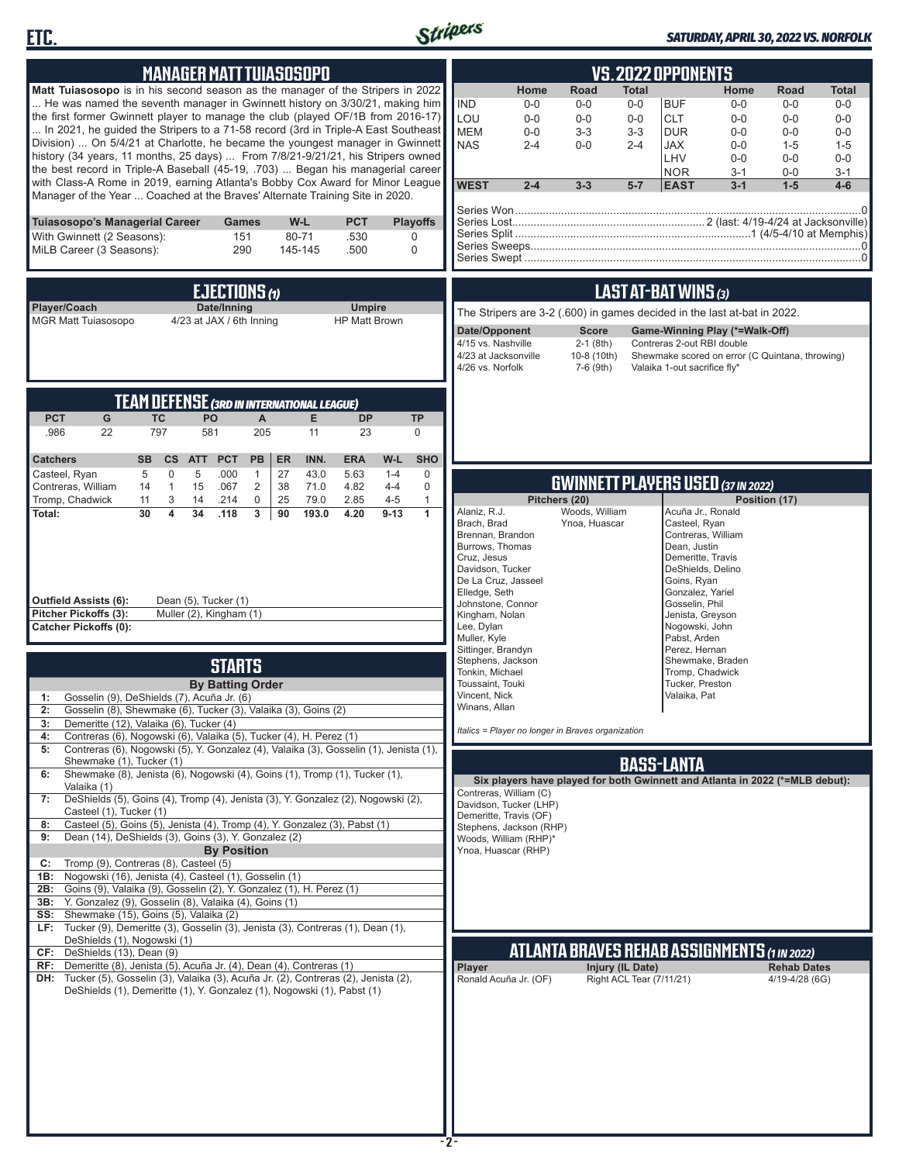



### *SATURDAY, APRIL 30, 2022 VS. NORFOLK*

| <b>MANAGER MATTTUIASOSOPO</b>                                                                                                                                                                                                                                                                                                                                                                                                                                                                                                                                                                                                                                                                                                                                                                                                                                                                                                                                                                                                                                                                                                                                                                                                 | <b>VS.2022 OPPONENTS</b>                                                                                                                                                                                                                                                                                                                                                                                                                                                                                                                                                                                     |
|-------------------------------------------------------------------------------------------------------------------------------------------------------------------------------------------------------------------------------------------------------------------------------------------------------------------------------------------------------------------------------------------------------------------------------------------------------------------------------------------------------------------------------------------------------------------------------------------------------------------------------------------------------------------------------------------------------------------------------------------------------------------------------------------------------------------------------------------------------------------------------------------------------------------------------------------------------------------------------------------------------------------------------------------------------------------------------------------------------------------------------------------------------------------------------------------------------------------------------|--------------------------------------------------------------------------------------------------------------------------------------------------------------------------------------------------------------------------------------------------------------------------------------------------------------------------------------------------------------------------------------------------------------------------------------------------------------------------------------------------------------------------------------------------------------------------------------------------------------|
| Matt Tuiasosopo is in his second season as the manager of the Stripers in 2022<br>He was named the seventh manager in Gwinnett history on 3/30/21, making him<br>the first former Gwinnett player to manage the club (played OF/1B from 2016-17)<br>In 2021, he quided the Stripers to a 71-58 record (3rd in Triple-A East Southeast<br>Division)  On 5/4/21 at Charlotte, he became the youngest manager in Gwinnett<br>history (34 years, 11 months, 25 days)  From 7/8/21-9/21/21, his Stripers owned<br>the best record in Triple-A Baseball (45-19, .703)  Began his managerial career<br>with Class-A Rome in 2019, earning Atlanta's Bobby Cox Award for Minor League<br>Manager of the Year  Coached at the Braves' Alternate Training Site in 2020.                                                                                                                                                                                                                                                                                                                                                                                                                                                                 | <b>Road</b><br><b>Total</b><br>Home<br><b>Road</b><br><b>Total</b><br>Home<br><b>IND</b><br>$0-0$<br><b>BUF</b><br>$0-0$<br>$0-0$<br>$0-0$<br>$0-0$<br>$0-0$<br>LOU<br>$0-0$<br><b>CLT</b><br>$0 - 0$<br>$0 - 0$<br>$0-0$<br>$0-0$<br>$0-0$<br><b>MEM</b><br>$3 - 3$<br>$3-3$<br><b>DUR</b><br>$0 - 0$<br>$0 - 0$<br>$0-0$<br>$0-0$<br><b>NAS</b><br>$0-0$<br>$2 - 4$<br><b>JAX</b><br>$2 - 4$<br>$0-0$<br>$1 - 5$<br>$1 - 5$<br>LHV<br>$0 - 0$<br>$0-0$<br>$0-0$<br><b>NOR</b><br>$3 - 1$<br>$0-0$<br>$3 - 1$<br><b>WEST</b><br>$2 - 4$<br>$3 - 3$<br>$5 - 7$<br><b>EAST</b><br>$3 - 1$<br>$1-5$<br>$4-6$   |
| <b>PCT</b><br>Tuiasosopo's Managerial Career<br>W-L<br><b>Playoffs</b><br>Games<br>With Gwinnett (2 Seasons):<br>151<br>80-71<br>.530<br>0<br>MiLB Career (3 Seasons):<br>290<br>.500<br>145-145<br>0                                                                                                                                                                                                                                                                                                                                                                                                                                                                                                                                                                                                                                                                                                                                                                                                                                                                                                                                                                                                                         |                                                                                                                                                                                                                                                                                                                                                                                                                                                                                                                                                                                                              |
| EJECTIONS (1)<br>Player/Coach<br>Date/Inning<br><b>Umpire</b><br><b>MGR Matt Tuiasosopo</b><br>4/23 at JAX / 6th Inning<br><b>HP Matt Brown</b>                                                                                                                                                                                                                                                                                                                                                                                                                                                                                                                                                                                                                                                                                                                                                                                                                                                                                                                                                                                                                                                                               | LAST AT-BAT WINS (3)<br>The Stripers are 3-2 (.600) in games decided in the last at-bat in 2022.<br>Date/Opponent<br><b>Score</b><br>Game-Winning Play (*=Walk-Off)<br>4/15 vs. Nashville<br>$2-1$ (8th)<br>Contreras 2-out RBI double<br>4/23 at Jacksonville<br>10-8 (10th)<br>Shewmake scored on error (C Quintana, throwing)<br>4/26 vs. Norfolk<br>7-6 (9th)<br>Valaika 1-out sacrifice fly*                                                                                                                                                                                                            |
| <b>TEAM DEFENSE (3RD IN INTERNATIONAL LEAGUE)</b><br><b>PCT</b><br>G<br><b>TC</b><br>PO<br>Е<br><b>DP</b><br><b>TP</b><br>$\mathsf{A}$<br>797<br>.986<br>22<br>581<br>205<br>11<br>23<br>$\mathbf 0$<br>INN.<br><b>SHO</b><br><b>Catchers</b><br><b>SB</b><br>$\mathsf{cs}$<br><b>PCT</b><br><b>PB</b><br>ER<br><b>ERA</b><br>W-L<br><b>ATT</b>                                                                                                                                                                                                                                                                                                                                                                                                                                                                                                                                                                                                                                                                                                                                                                                                                                                                               |                                                                                                                                                                                                                                                                                                                                                                                                                                                                                                                                                                                                              |
| $\mathbf 0$<br>5<br>.000<br>27<br>43.0<br>5.63<br>$\mathbf 0$<br>Casteel, Ryan<br>5<br>$\mathbf{1}$<br>$1 - 4$<br>Contreras, William<br>15<br>.067<br>$\overline{2}$<br>38<br>71.0<br>4.82<br>$4 - 4$<br>$\mathbf 0$<br>$\overline{1}$<br>14                                                                                                                                                                                                                                                                                                                                                                                                                                                                                                                                                                                                                                                                                                                                                                                                                                                                                                                                                                                  | <b>GWINNETT PLAYERS USED (37 IN 2022)</b>                                                                                                                                                                                                                                                                                                                                                                                                                                                                                                                                                                    |
| $\overline{\mathbf{4}}$<br>34<br>.118<br>$9 - 13$<br>Total:<br>30<br>3<br>90<br>193.0<br>4.20<br>1<br><b>Outfield Assists (6):</b><br>Dean (5), Tucker (1)<br>Pitcher Pickoffs (3):<br>Muller (2), Kingham (1)<br><b>Catcher Pickoffs (0):</b><br><b>STARTS</b>                                                                                                                                                                                                                                                                                                                                                                                                                                                                                                                                                                                                                                                                                                                                                                                                                                                                                                                                                               | Woods, William<br>Alaniz, R.J.<br>Acuña Jr., Ronald<br>Brach, Brad<br>Ynoa, Huascar<br>Casteel, Ryan<br>Contreras, William<br>Brennan, Brandon<br>Burrows, Thomas<br>Dean, Justin<br>Cruz, Jesus<br>Demeritte, Travis<br>Davidson, Tucker<br>DeShields, Delino<br>De La Cruz, Jasseel<br>Goins, Ryan<br>Elledge, Seth<br>Gonzalez, Yariel<br>Johnstone, Connor<br>Gosselin, Phil<br>Kingham, Nolan<br>Jenista, Greyson<br>Lee, Dylan<br>Nogowski, John<br>Muller, Kyle<br>Pabst, Arden<br>Sittinger, Brandyn<br>Perez, Hernan<br>Stephens, Jackson<br>Shewmake, Braden<br>Tonkin, Michael<br>Tromp, Chadwick |
| <b>By Batting Order</b><br>Gosselin (9), DeShields (7), Acuña Jr. (6)<br>1:<br>2:<br>Gosselin (8), Shewmake (6), Tucker (3), Valaika (3), Goins (2)<br>Demeritte (12), Valaika (6), Tucker (4)<br>3:<br>Contreras (6), Nogowski (6), Valaika (5), Tucker (4), H. Perez (1)<br>4:                                                                                                                                                                                                                                                                                                                                                                                                                                                                                                                                                                                                                                                                                                                                                                                                                                                                                                                                              | Toussaint, Touki<br>Tucker, Preston<br>Vincent, Nick<br>Valaika, Pat<br>Winans, Allan<br>Italics = Player no longer in Braves organization                                                                                                                                                                                                                                                                                                                                                                                                                                                                   |
| Contreras (6), Nogowski (5), Y. Gonzalez (4), Valaika (3), Gosselin (1), Jenista (1),<br>5:<br>Shewmake (1), Tucker (1)<br>Shewmake (8), Jenista (6), Nogowski (4), Goins (1), Tromp (1), Tucker (1),<br>6:<br>Valaika (1)<br>DeShields (5), Goins (4), Tromp (4), Jenista (3), Y. Gonzalez (2), Nogowski (2),<br>7:<br>Casteel (1), Tucker (1)<br>Casteel (5), Goins (5), Jenista (4), Tromp (4), Y. Gonzalez (3), Pabst (1)<br>8:<br>Dean (14), DeShields (3), Goins (3), Y. Gonzalez (2)<br>9:<br><b>By Position</b><br>Tromp (9), Contreras (8), Casteel (5)<br>C:<br>Nogowski (16), Jenista (4), Casteel (1), Gosselin (1)<br>1B:<br>2B: Goins (9), Valaika (9), Gosselin (2), Y. Gonzalez (1), H. Perez (1)<br>3B: Y. Gonzalez (9), Gosselin (8), Valaika (4), Goins (1)<br>SS: Shewmake (15), Goins (5), Valaika (2)<br>LF: Tucker (9), Demeritte (3), Gosselin (3), Jenista (3), Contreras (1), Dean (1),<br>DeShields (1), Nogowski (1)<br>CF: DeShields (13), Dean (9)<br>RF: Demeritte (8), Jenista (5), Acuña Jr. (4), Dean (4), Contreras (1)<br>DH: Tucker (5), Gosselin (3), Valaika (3), Acuña Jr. (2), Contreras (2), Jenista (2),<br>DeShields (1), Demeritte (1), Y. Gonzalez (1), Nogowski (1), Pabst (1) | <b>BASS-LANTA</b><br>Six players have played for both Gwinnett and Atlanta in 2022 (*=MLB debut):<br>Contreras, William (C)<br>Davidson, Tucker (LHP)<br>Demeritte, Travis (OF)<br>Stephens, Jackson (RHP)<br>Woods, William (RHP)*<br>Ynoa, Huascar (RHP)<br><b>ATLANTA BRAVES REHAB ASSIGNMENTS (1 IN 2022)</b><br><b>Injury (IL Date)</b><br>Player<br><b>Rehab Dates</b><br>Right ACL Tear (7/11/21)<br>Ronald Acuña Jr. (OF)<br>4/19-4/28 (6G)                                                                                                                                                          |
|                                                                                                                                                                                                                                                                                                                                                                                                                                                                                                                                                                                                                                                                                                                                                                                                                                                                                                                                                                                                                                                                                                                                                                                                                               |                                                                                                                                                                                                                                                                                                                                                                                                                                                                                                                                                                                                              |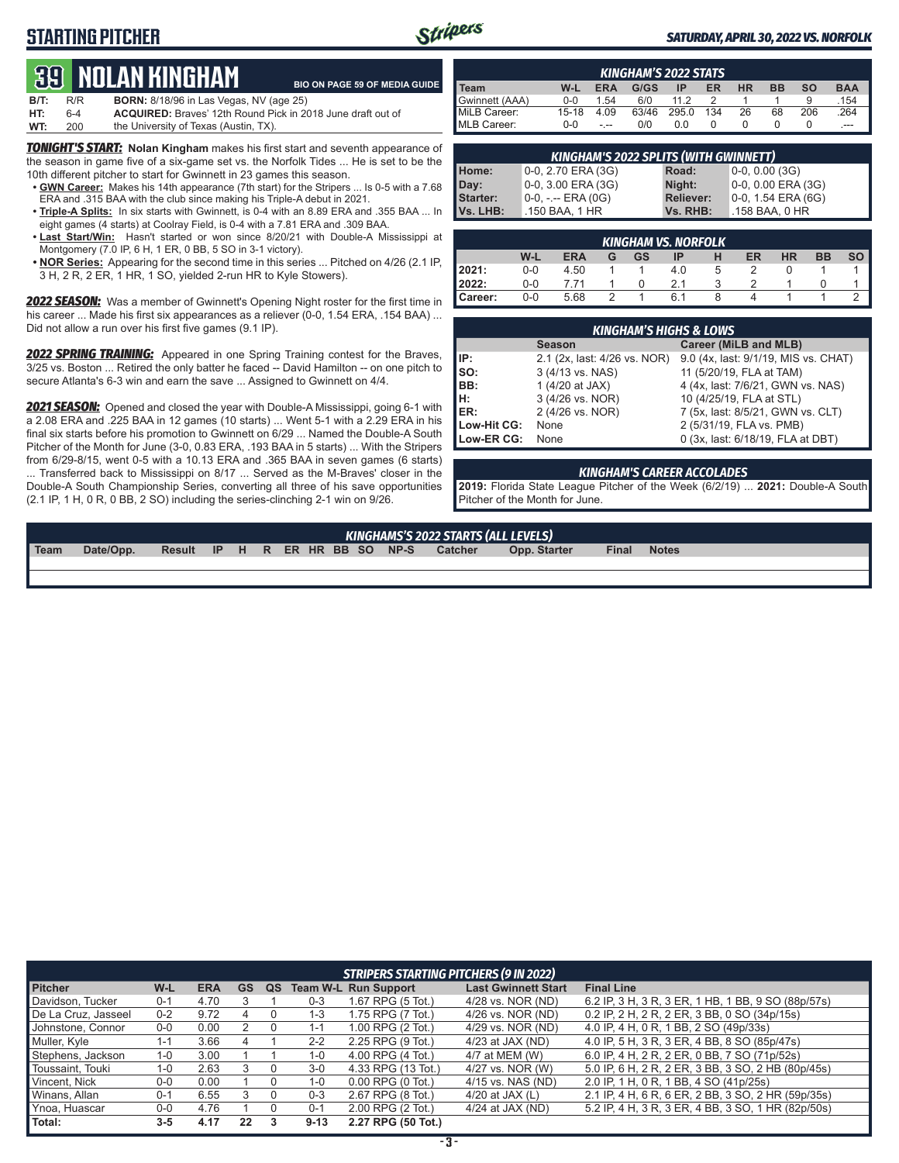## **STARTING PITCHER**



### *SATURDAY, APRIL 30, 2022 VS. NORFOLK*

# **39****NOLAN KINGHAM**

|      |         | <b>JEL HULAN IIINUHAN</b>                                          | <b>BIO ON PAGE 59 OF MEDIA GUIDE</b> |
|------|---------|--------------------------------------------------------------------|--------------------------------------|
| B/T: | R/R     | <b>BORN:</b> 8/18/96 in Las Vegas, NV (age 25)                     |                                      |
| HT:  | $6 - 4$ | <b>ACQUIRED:</b> Braves' 12th Round Pick in 2018 June draft out of |                                      |
| WT:  | 200     | the University of Texas (Austin, TX).                              |                                      |

*TONIGHT'S START:* **Nolan Kingham** makes his first start and seventh appearance of the season in game five of a six-game set vs. the Norfolk Tides ... He is set to be the 10th different pitcher to start for Gwinnett in 23 games this season.

- **• GWN Career:** Makes his 14th appearance (7th start) for the Stripers ... Is 0-5 with a 7.68 ERA and .315 BAA with the club since making his Triple-A debut in 2021.
- **• Triple-A Splits:** In six starts with Gwinnett, is 0-4 with an 8.89 ERA and .355 BAA ... In eight games (4 starts) at Coolray Field, is 0-4 with a 7.81 ERA and .309 BAA.
- **• Last Start/Win:** Hasn't started or won since 8/20/21 with Double-A Mississippi at Montgomery (7.0 IP, 6 H, 1 ER, 0 BB, 5 SO in 3-1 victory).
- **• NOR Series:** Appearing for the second time in this series ... Pitched on 4/26 (2.1 IP, 3 H, 2 R, 2 ER, 1 HR, 1 SO, yielded 2-run HR to Kyle Stowers).

*2022 SEASON:* Was a member of Gwinnett's Opening Night roster for the first time in his career ... Made his first six appearances as a reliever (0-0, 1.54 ERA, .154 BAA) ... Did not allow a run over his first five games (9.1 IP).

*2022 SPRING TRAINING:* Appeared in one Spring Training contest for the Braves, 3/25 vs. Boston ... Retired the only batter he faced -- David Hamilton -- on one pitch to secure Atlanta's 6-3 win and earn the save ... Assigned to Gwinnett on 4/4.

*2021 SEASON:* Opened and closed the year with Double-A Mississippi, going 6-1 with a 2.08 ERA and .225 BAA in 12 games (10 starts) ... Went 5-1 with a 2.29 ERA in his final six starts before his promotion to Gwinnett on 6/29 ... Named the Double-A South Pitcher of the Month for June (3-0, 0.83 ERA, .193 BAA in 5 starts) ... With the Stripers from 6/29-8/15, went 0-5 with a 10.13 ERA and .365 BAA in seven games (6 starts) ... Transferred back to Mississippi on 8/17 ... Served as the M-Braves' closer in the Double-A South Championship Series, converting all three of his save opportunities (2.1 IP, 1 H, 0 R, 0 BB, 2 SO) including the series-clinching 2-1 win on 9/26.

| <b>KINGHAM'S 2022 STATS</b> |         |         |       |      |     |    |           |           |            |  |  |  |
|-----------------------------|---------|---------|-------|------|-----|----|-----------|-----------|------------|--|--|--|
| Team                        | W-L     | ERA     | G/GS  | ΙP   | ER  | HR | <b>BB</b> | <b>SO</b> | <b>BAA</b> |  |  |  |
| Gwinnett (AAA)              | 0-0     | 1.54    | 6/0   | 112  |     |    |           | 9         | .154       |  |  |  |
| MiLB Career:                | 15-18   | 4.09    | 63/46 | 2950 | 134 | 26 | 68        | 206       | .264       |  |  |  |
| MLB Career:                 | $0 - 0$ | $- - -$ | 0/0   | 0.0  |     | O  |           |           | $---$      |  |  |  |

|          | <b>KINGHAM'S 2022 SPLITS (WITH GWINNETT)</b> |                  |                       |  |  |  |  |  |  |  |  |  |  |
|----------|----------------------------------------------|------------------|-----------------------|--|--|--|--|--|--|--|--|--|--|
| Home:    | 0-0, 2.70 ERA (3G)                           | Road:            | $0-0, 0.00(3G)$       |  |  |  |  |  |  |  |  |  |  |
| Day:     | 0-0, 3.00 ERA (3G)                           | Night:           | 0-0, 0.00 ERA (3G)    |  |  |  |  |  |  |  |  |  |  |
| Starter: | $0-0, - -$ ERA $(0G)$                        | <b>Reliever:</b> | $0-0$ , 1.54 ERA (6G) |  |  |  |  |  |  |  |  |  |  |
| Vs. LHB: | .150 BAA, 1 HR                               | Vs. RHB:         | .158 BAA, 0 HR        |  |  |  |  |  |  |  |  |  |  |

| KINGHAM VS. NORFOLK |         |            |   |    |     |   |    |           |           |           |  |  |  |
|---------------------|---------|------------|---|----|-----|---|----|-----------|-----------|-----------|--|--|--|
|                     | W-L     | <b>ERA</b> | G | GS | IP  | н | ER | <b>HR</b> | <b>BB</b> | <b>SO</b> |  |  |  |
| 2021:               | $0 - 0$ | 4.50       |   |    | 4.0 | 5 |    |           |           |           |  |  |  |
| 2022:               | $0-0$   | 7 71       |   |    | 2.1 |   |    |           |           |           |  |  |  |
| Career:             | $0-0$   | 5.68       |   |    | 6.1 | 8 |    |           |           |           |  |  |  |

|             | <b>KINGHAM'S HIGHS &amp; LOWS</b> |                                      |  |  |  |  |  |  |  |  |  |
|-------------|-----------------------------------|--------------------------------------|--|--|--|--|--|--|--|--|--|
|             | <b>Season</b>                     | Career (MiLB and MLB)                |  |  |  |  |  |  |  |  |  |
| IP:         | 2.1 (2x, last: 4/26 vs. NOR)      | 9.0 (4x, last: 9/1/19, MIS vs. CHAT) |  |  |  |  |  |  |  |  |  |
| so:         | 3 (4/13 vs. NAS)                  | 11 (5/20/19, FLA at TAM)             |  |  |  |  |  |  |  |  |  |
| BB:         | 1 (4/20 at JAX)                   | 4 (4x, last: 7/6/21, GWN vs. NAS)    |  |  |  |  |  |  |  |  |  |
| IH:         | 3 (4/26 vs. NOR)                  | 10 (4/25/19, FLA at STL)             |  |  |  |  |  |  |  |  |  |
| IER:        | 2 (4/26 vs. NOR)                  | 7 (5x, last: 8/5/21, GWN vs. CLT)    |  |  |  |  |  |  |  |  |  |
| Low-Hit CG: | None                              | 2 (5/31/19, FLA vs. PMB)             |  |  |  |  |  |  |  |  |  |
| Low-ER CG:  | None                              | 0 (3x, last: 6/18/19, FLA at DBT)    |  |  |  |  |  |  |  |  |  |

#### *KINGHAM'S CAREER ACCOLADES*

**2019:** Florida State League Pitcher of the Week (6/2/19) ... **2021:** Double-A South Pitcher of the Month for June.

|      |           |                                |  |  |  |                | KINGHAMS'S 2022 STARTS (ALL LEVELS) |              |              |  |
|------|-----------|--------------------------------|--|--|--|----------------|-------------------------------------|--------------|--------------|--|
| Team | Date/Opp. | Result IP H R ER HR BB SO NP-S |  |  |  | <b>Catcher</b> | Opp. Starter                        | <b>Final</b> | <b>Notes</b> |  |
|      |           |                                |  |  |  |                |                                     |              |              |  |

|                     |         |            |           |    |          | STRIPERS STARTING PITCHERS (9 IN 2022) |                            |                                                    |
|---------------------|---------|------------|-----------|----|----------|----------------------------------------|----------------------------|----------------------------------------------------|
| <b>Pitcher</b>      | W-L     | <b>ERA</b> | <b>GS</b> | QS |          | <b>Team W-L Run Support</b>            | <b>Last Gwinnett Start</b> | <b>Final Line</b>                                  |
| Davidson, Tucker    | $0 - 1$ | 4.70       |           |    | $0 - 3$  | 1.67 RPG (5 Tot.)                      | 4/28 vs. NOR (ND)          | 6.2 IP, 3 H, 3 R, 3 ER, 1 HB, 1 BB, 9 SO (88p/57s) |
| De La Cruz, Jasseel | $0 - 2$ | 9.72       |           |    | 1-3      | 1.75 RPG (7 Tot.)                      | 4/26 vs. NOR (ND)          | 0.2 IP, 2 H, 2 R, 2 ER, 3 BB, 0 SO (34p/15s)       |
| Johnstone, Connor   | $0-0$   | 0.00       |           |    | 1-1      | 1.00 RPG (2 Tot.)                      | 4/29 vs. NOR (ND)          | 4.0 IP, 4 H, 0 R, 1 BB, 2 SO (49p/33s)             |
| Muller, Kyle        | 1-1     | 3.66       |           |    | $2 - 2$  | 2.25 RPG (9 Tot.)                      | $4/23$ at JAX (ND)         | 4.0 IP, 5 H, 3 R, 3 ER, 4 BB, 8 SO (85p/47s)       |
| Stephens, Jackson   | 1-0     | 3.00       |           |    | $1 - 0$  | 4.00 RPG (4 Tot.)                      | 4/7 at MEM (W)             | 6.0 IP, 4 H, 2 R, 2 ER, 0 BB, 7 SO (71p/52s)       |
| Toussaint, Touki    | 1-0     | 2.63       |           |    | $3-0$    | 4.33 RPG (13 Tot.)                     | 4/27 vs. NOR (W)           | 5.0 IP, 6 H, 2 R, 2 ER, 3 BB, 3 SO, 2 HB (80p/45s) |
| Vincent. Nick       | $0 - 0$ | 0.00       |           |    | $1 - 0$  | $0.00$ RPG $(0$ Tot.)                  | 4/15 vs. NAS (ND)          | 2.0 IP, 1 H, 0 R, 1 BB, 4 SO (41p/25s)             |
| Winans, Allan       | $0 - 1$ | 6.55       |           |    | $0 - 3$  | 2.67 RPG (8 Tot.)                      | 4/20 at JAX $(L)$          | 2.1 IP, 4 H, 6 R, 6 ER, 2 BB, 3 SO, 2 HR (59p/35s) |
| Ynoa, Huascar       | $0 - 0$ | 4.76       |           |    | $0 - 1$  | 2.00 RPG (2 Tot.)                      | $4/24$ at JAX (ND)         | 5.2 IP, 4 H, 3 R, 3 ER, 4 BB, 3 SO, 1 HR (82p/50s) |
| Total:              | $3-5$   | 4.17       | 22        |    | $9 - 13$ | 2.27 RPG (50 Tot.)                     |                            |                                                    |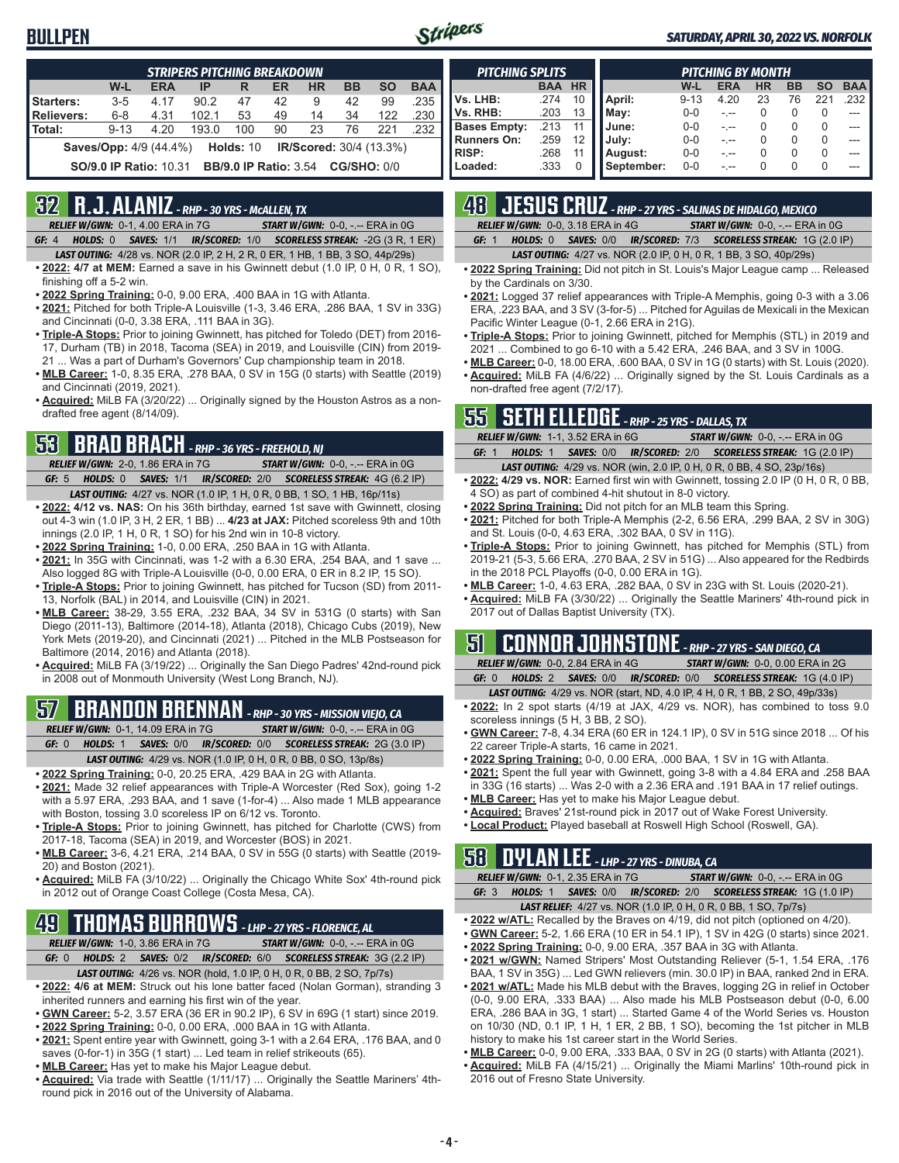### **BULLPEN**



### *SATURDAY, APRIL 30, 2022 VS. NORFOLK*

|                                                                                     | <b>STRIPERS PITCHING BREAKDOWN</b>                                                  |            |       |     |    |           |           |           |            |  |  |  |  |
|-------------------------------------------------------------------------------------|-------------------------------------------------------------------------------------|------------|-------|-----|----|-----------|-----------|-----------|------------|--|--|--|--|
|                                                                                     | W-L                                                                                 | <b>ERA</b> | IP    | R   | ER | <b>HR</b> | <b>BB</b> | <b>SO</b> | <b>BAA</b> |  |  |  |  |
| Starters:                                                                           | $3 - 5$                                                                             | 4 17       | 90.2  | 47  | 42 | 9         | 42        | 99        | .235       |  |  |  |  |
| Relievers:                                                                          | $6 - 8$                                                                             | 4.31       | 102.1 | 53  | 49 | 14        | 34        | 122       | .230       |  |  |  |  |
| l Total:                                                                            | $9 - 13$                                                                            | 4.20       | 193.0 | 100 | 90 | 23        | 76        | 221       | .232       |  |  |  |  |
|                                                                                     | <b>Holds: 10</b><br><b>IR/Scored:</b> 30/4 (13.3%)<br><b>Saves/Opp:</b> 4/9 (44.4%) |            |       |     |    |           |           |           |            |  |  |  |  |
| <b>CG/SHO: 0/0</b><br><b>SO/9.0 IP Ratio: 10.31</b><br><b>BB/9.0 IP Ratio: 3.54</b> |                                                                                     |            |       |     |    |           |           |           |            |  |  |  |  |

### **32 R.J. ALANIZ** *- RHP - 30 YRS - McALLEN, TX*

*RELIEF W/GWN:*0-1, 4.00 ERA in 7G *START W/GWN:*0-0, -.-- ERA in 0G *GF:*4 *HOLDS:*0 *SAVES:*1/1 *IR/SCORED:*1/0 *SCORELESS STREAK:*-2G (3 R, 1 ER)

- *LAST OUTING:*4/28 vs. NOR (2.0 IP, 2 H, 2 R, 0 ER, 1 HB, 1 BB, 3 SO, 44p/29s)
- **• 2022: 4/7 at MEM:** Earned a save in his Gwinnett debut (1.0 IP, 0 H, 0 R, 1 SO), finishing off a 5-2 win.
- **• 2022 Spring Training:** 0-0, 9.00 ERA, .400 BAA in 1G with Atlanta.
- **• 2021:** Pitched for both Triple-A Louisville (1-3, 3.46 ERA, .286 BAA, 1 SV in 33G) and Cincinnati (0-0, 3.38 ERA, .111 BAA in 3G).
- **• Triple-A Stops:** Prior to joining Gwinnett, has pitched for Toledo (DET) from 2016- 17, Durham (TB) in 2018, Tacoma (SEA) in 2019, and Louisville (CIN) from 2019- 21 ... Was a part of Durham's Governors' Cup championship team in 2018.
- **• MLB Career:** 1-0, 8.35 ERA, .278 BAA, 0 SV in 15G (0 starts) with Seattle (2019) and Cincinnati (2019, 2021).
- **• Acquired:** MiLB FA (3/20/22) ... Originally signed by the Houston Astros as a nondrafted free agent (8/14/09).

## **53 BRAD BRACH** *- RHP - 36 YRS - FREEHOLD, NJ*

- *RELIEF W/GWN:*2-0, 1.86 ERA in 7G *START W/GWN:*0-0, -.-- ERA in 0G *GF:*5 *HOLDS:*0 *SAVES:*1/1 *IR/SCORED:*2/0 *SCORELESS STREAK:*4G (6.2 IP)
- *LAST OUTING:*4/27 vs. NOR (1.0 IP, 1 H, 0 R, 0 BB, 1 SO, 1 HB, 16p/11s) **• 2022: 4/12 vs. NAS:** On his 36th birthday, earned 1st save with Gwinnett, closing out 4-3 win (1.0 IP, 3 H, 2 ER, 1 BB) ... **4/23 at JAX:** Pitched scoreless 9th and 10th innings (2.0 IP, 1 H, 0 R, 1 SO) for his 2nd win in 10-8 victory.
- **• 2022 Spring Training:** 1-0, 0.00 ERA, .250 BAA in 1G with Atlanta.
- **• 2021:** In 35G with Cincinnati, was 1-2 with a 6.30 ERA, .254 BAA, and 1 save ... Also logged 8G with Triple-A Louisville (0-0, 0.00 ERA, 0 ER in 8.2 IP, 15 SO).
- **• Triple-A Stops:** Prior to joining Gwinnett, has pitched for Tucson (SD) from 2011- 13, Norfolk (BAL) in 2014, and Louisville (CIN) in 2021.
- **• MLB Career:** 38-29, 3.55 ERA, .232 BAA, 34 SV in 531G (0 starts) with San Diego (2011-13), Baltimore (2014-18), Atlanta (2018), Chicago Cubs (2019), New York Mets (2019-20), and Cincinnati (2021) ... Pitched in the MLB Postseason for Baltimore (2014, 2016) and Atlanta (2018).
- **• Acquired:** MiLB FA (3/19/22) ... Originally the San Diego Padres' 42nd-round pick in 2008 out of Monmouth University (West Long Branch, NJ).

## **57 BRANDON BRENNAN** *- RHP - 30 YRS - MISSION VIEJO, CA*

*RELIEF W/GWN:*0-1, 14.09 ERA in 7G *START W/GWN:*0-0, -.-- ERA in 0G *GF:*0 *HOLDS:*1 *SAVES:*0/0 *IR/SCORED:*0/0 *SCORELESS STREAK:*2G (3.0 IP)

- *LAST OUTING:*4/29 vs. NOR (1.0 IP, 0 H, 0 R, 0 BB, 0 SO, 13p/8s)
- **• 2022 Spring Training:** 0-0, 20.25 ERA, .429 BAA in 2G with Atlanta.
- **• 2021:** Made 32 relief appearances with Triple-A Worcester (Red Sox), going 1-2 with a 5.97 ERA, .293 BAA, and 1 save (1-for-4) ... Also made 1 MLB appearance with Boston, tossing 3.0 scoreless IP on 6/12 vs. Toronto.
- **• Triple-A Stops:** Prior to joining Gwinnett, has pitched for Charlotte (CWS) from 2017-18, Tacoma (SEA) in 2019, and Worcester (BOS) in 2021.
- **• MLB Career:** 3-6, 4.21 ERA, .214 BAA, 0 SV in 55G (0 starts) with Seattle (2019- 20) and Boston (2021).
- **• Acquired:** MiLB FA (3/10/22) ... Originally the Chicago White Sox' 4th-round pick in 2012 out of Orange Coast College (Costa Mesa, CA).

## **49 THOMAS BURROWS** *- LHP - 27 YRS - FLORENCE, AL*

*RELIEF W/GWN:*1-0, 3.86 ERA in 7G *START W/GWN:*0-0, -.-- ERA in 0G

- *GF:*0 *HOLDS:*2 *SAVES:*0/2 *IR/SCORED:*6/0 *SCORELESS STREAK:*3G (2.2 IP)
- *LAST OUTING:*4/26 vs. NOR (hold, 1.0 IP, 0 H, 0 R, 0 BB, 2 SO, 7p/7s) **• 2022: 4/6 at MEM:** Struck out his lone batter faced (Nolan Gorman), stranding 3
- inherited runners and earning his first win of the year. **• GWN Career:** 5-2, 3.57 ERA (36 ER in 90.2 IP), 6 SV in 69G (1 start) since 2019.
- **• 2022 Spring Training:** 0-0, 0.00 ERA, .000 BAA in 1G with Atlanta.
- **• 2021:** Spent entire year with Gwinnett, going 3-1 with a 2.64 ERA, .176 BAA, and 0 saves (0-for-1) in 35G (1 start) ... Led team in relief strikeouts (65).
- **• MLB Career:** Has yet to make his Major League debut.
- **• Acquired:** Via trade with Seattle (1/11/17) ... Originally the Seattle Mariners' 4thround pick in 2016 out of the University of Alabama.

|                     | <b>PITCHING SPLITS</b> |           |            | <b>PITCHING BY MONTH</b> |            |              |           |           |            |  |  |  |  |  |
|---------------------|------------------------|-----------|------------|--------------------------|------------|--------------|-----------|-----------|------------|--|--|--|--|--|
|                     | <b>BAA</b>             | <b>HR</b> |            | W-L                      | <b>ERA</b> | <b>HR</b>    | <b>BB</b> | <b>SO</b> | <b>BAA</b> |  |  |  |  |  |
| Vs. LHB:            | .274                   | 10        | April:     | $9 - 13$                 | 4.20       | 23           | 76        | 221       | .232 l     |  |  |  |  |  |
| Vs. RHB:            | .203                   | 13        | May:       | $0 - 0$                  |            |              |           |           |            |  |  |  |  |  |
| <b>Bases Empty:</b> | .213                   |           | June:      | $0 - 0$                  |            | $\mathbf{I}$ | $\cup$    | O         |            |  |  |  |  |  |
| <b>Runners On:</b>  | .259                   | 12        | July:      | $0 - 0$                  |            |              | $\Omega$  | 0         |            |  |  |  |  |  |
| <b>RISP:</b>        | .268                   | 11        | August:    | $0 - 0$                  |            |              | $\Omega$  | 0         | ---        |  |  |  |  |  |
| Loaded:             | .333                   | U         | September: | $0 - 0$                  |            |              |           | $\Omega$  | ---        |  |  |  |  |  |

## **48 JESUS CRUZ** *- RHP - 27 YRS - SALINAS DE HIDALGO, MEXICO*

|  | <b>RELIEF W/GWN: 0-0, 3.18 ERA in 4G</b> |  | <b>START W/GWN: <math>0-0</math>, -.-- ERA in OG</b>                   |  |
|--|------------------------------------------|--|------------------------------------------------------------------------|--|
|  |                                          |  | GF: 1 HOLDS: 0 SAVES: 0/0 IR/SCORED: 7/3 SCORELESS STREAK: 1G (2.0 IP) |  |

*LAST OUTING:*4/27 vs. NOR (2.0 IP, 0 H, 0 R, 1 BB, 3 SO, 40p/29s)

- **• 2022 Spring Training:** Did not pitch in St. Louis's Major League camp ... Released by the Cardinals on 3/30.
- **• 2021:** Logged 37 relief appearances with Triple-A Memphis, going 0-3 with a 3.06 ERA, .223 BAA, and 3 SV (3-for-5) ... Pitched for Aguilas de Mexicali in the Mexican Pacific Winter League (0-1, 2.66 ERA in 21G).
- **• Triple-A Stops:** Prior to joining Gwinnett, pitched for Memphis (STL) in 2019 and 2021 ... Combined to go 6-10 with a 5.42 ERA, .246 BAA, and 3 SV in 100G.
- **• MLB Career:** 0-0, 18.00 ERA, .600 BAA, 0 SV in 1G (0 starts) with St. Louis (2020). **• Acquired:** MiLB FA (4/6/22) ... Originally signed by the St. Louis Cardinals as a non-drafted free agent (7/2/17).

## **55 SETH ELLEDGE** *- RHP - 25 YRS - DALLAS, TX*

|         |          | <b>RELIEF W/GWN: 1-1, 3.52 ERA in 6G</b> |                                                                               | <b>START W/GWN: 0-0, -.-- ERA in 0G</b>                        |
|---------|----------|------------------------------------------|-------------------------------------------------------------------------------|----------------------------------------------------------------|
| GF: $1$ | HOLDS: 1 |                                          |                                                                               | <b>SAVES: 0/0 IR/SCORED: 2/0 SCORELESS STREAK: 1G (2.0 IP)</b> |
|         |          |                                          | <b>LAST OUTING:</b> 4/29 vs. NOR (win, 2.0 IP, 0 H, 0 R, 0 BB, 4 SO, 23p/16s) |                                                                |

- **• 2022: 4/29 vs. NOR:** Earned first win with Gwinnett, tossing 2.0 IP (0 H, 0 R, 0 BB, 4 SO) as part of combined 4-hit shutout in 8-0 victory.
- **• 2022 Spring Training:** Did not pitch for an MLB team this Spring.
- **• 2021:** Pitched for both Triple-A Memphis (2-2, 6.56 ERA, .299 BAA, 2 SV in 30G) and St. Louis (0-0, 4.63 ERA, .302 BAA, 0 SV in 11G).
- **• Triple-A Stops:** Prior to joining Gwinnett, has pitched for Memphis (STL) from 2019-21 (5-3, 5.66 ERA, .270 BAA, 2 SV in 51G) ... Also appeared for the Redbirds in the 2018 PCL Playoffs (0-0, 0.00 ERA in 1G).
- **• MLB Career:** 1-0, 4.63 ERA, .282 BAA, 0 SV in 23G with St. Louis (2020-21).
- **• Acquired:** MiLB FA (3/30/22) ... Originally the Seattle Mariners' 4th-round pick in 2017 out of Dallas Baptist University (TX).

## **51 CONNOR JOHNSTONE** *- RHP - 27 YRS - SAN DIEGO, CA*

*RELIEF W/GWN:*0-0, 2.84 ERA in 4G *START W/GWN:*0-0, 0.00 ERA in 2G *GF:*0 *HOLDS:*2 *SAVES:*0/0 *IR/SCORED:*0/0 *SCORELESS STREAK:*1G (4.0 IP)

*LAST OUTING:*4/29 vs. NOR (start, ND, 4.0 IP, 4 H, 0 R, 1 BB, 2 SO, 49p/33s)

- **• 2022:** In 2 spot starts (4/19 at JAX, 4/29 vs. NOR), has combined to toss 9.0 scoreless innings (5 H, 3 BB, 2 SO).
- **• GWN Career:** 7-8, 4.34 ERA (60 ER in 124.1 IP), 0 SV in 51G since 2018 ... Of his 22 career Triple-A starts, 16 came in 2021.
- **• 2022 Spring Training:** 0-0, 0.00 ERA, .000 BAA, 1 SV in 1G with Atlanta.
- **• 2021:** Spent the full year with Gwinnett, going 3-8 with a 4.84 ERA and .258 BAA in 33G (16 starts) ... Was 2-0 with a 2.36 ERA and .191 BAA in 17 relief outings.
- **• MLB Career:** Has yet to make his Major League debut.
- **• Acquired:** Braves' 21st-round pick in 2017 out of Wake Forest University.
- **• Local Product:** Played baseball at Roswell High School (Roswell, GA).

## **58 DYLAN LEE** *- LHP - 27 YRS - DINUBA, CA*

- *RELIEF W/GWN:*0-1, 2.35 ERA in 7G *START W/GWN:*0-0, -.-- ERA in 0G *GF:*3 *HOLDS:*1 *SAVES:*0/0 *IR/SCORED:*2/0 *SCORELESS STREAK:*1G (1.0 IP) *LAST RELIEF:*4/27 vs. NOR (1.0 IP, 0 H, 0 R, 0 BB, 1 SO, 7p/7s)
- **• 2022 w/ATL:** Recalled by the Braves on 4/19, did not pitch (optioned on 4/20).
- **• GWN Career:** 5-2, 1.66 ERA (10 ER in 54.1 IP), 1 SV in 42G (0 starts) since 2021.
- **• 2022 Spring Training:** 0-0, 9.00 ERA, .357 BAA in 3G with Atlanta.
- **• 2021 w/GWN:** Named Stripers' Most Outstanding Reliever (5-1, 1.54 ERA, .176 BAA, 1 SV in 35G) ... Led GWN relievers (min. 30.0 IP) in BAA, ranked 2nd in ERA.
- **• 2021 w/ATL:** Made his MLB debut with the Braves, logging 2G in relief in October (0-0, 9.00 ERA, .333 BAA) ... Also made his MLB Postseason debut (0-0, 6.00 ERA, .286 BAA in 3G, 1 start) ... Started Game 4 of the World Series vs. Houston on 10/30 (ND, 0.1 IP, 1 H, 1 ER, 2 BB, 1 SO), becoming the 1st pitcher in MLB history to make his 1st career start in the World Series.
- **• MLB Career:** 0-0, 9.00 ERA, .333 BAA, 0 SV in 2G (0 starts) with Atlanta (2021).
- **• Acquired:** MiLB FA (4/15/21) ... Originally the Miami Marlins' 10th-round pick in 2016 out of Fresno State University.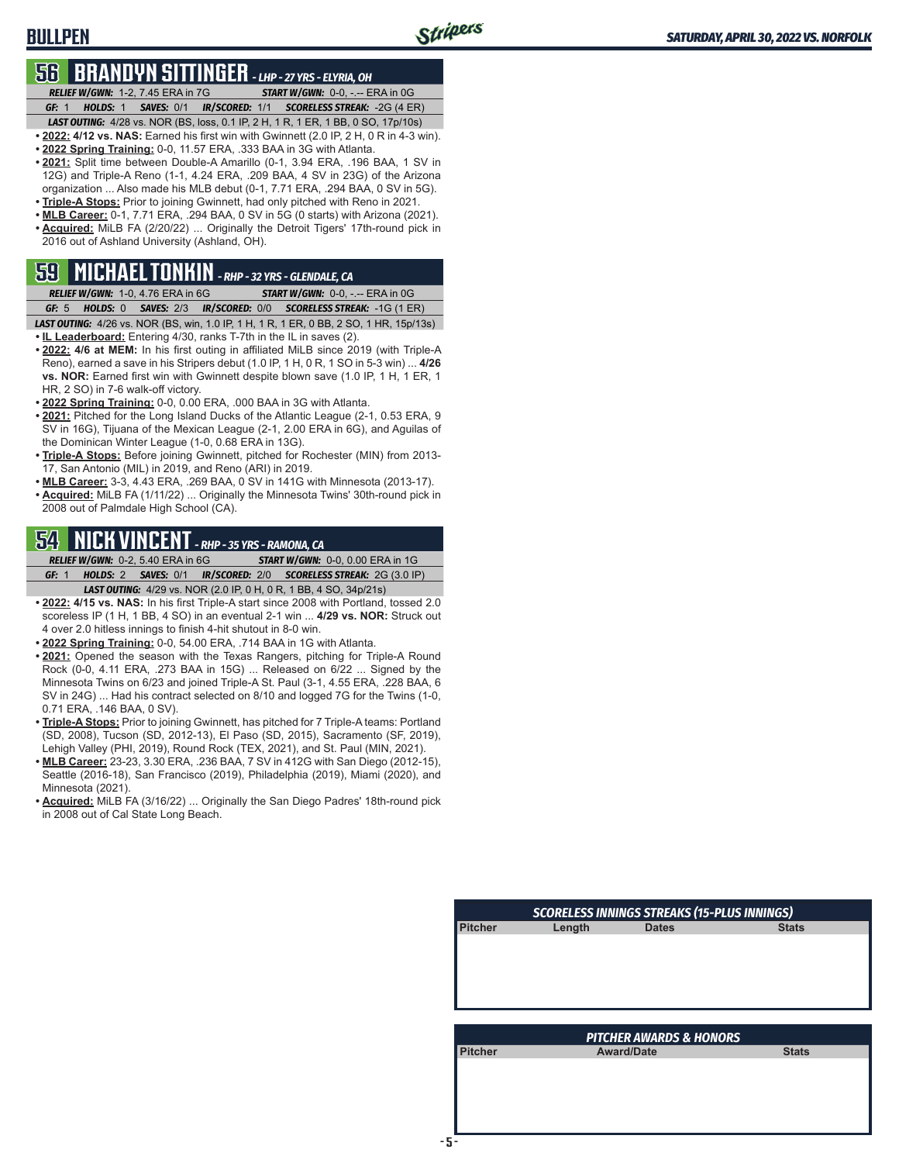## **BULLPEN**

## **56 BRANDYN SITTINGER** *- LHP - 27 YRS - ELYRIA, OH*

*RELIEF W/GWN:*1-2, 7.45 ERA in 7G *START W/GWN:*0-0, -.-- ERA in 0G

*GF:*1 *HOLDS:*1 *SAVES:*0/1 *IR/SCORED:*1/1 *SCORELESS STREAK:*-2G (4 ER) *LAST OUTING:*4/28 vs. NOR (BS, loss, 0.1 IP, 2 H, 1 R, 1 ER, 1 BB, 0 SO, 17p/10s)

- **• 2022: 4/12 vs. NAS:** Earned his first win with Gwinnett (2.0 IP, 2 H, 0 R in 4-3 win).
- **• 2022 Spring Training:** 0-0, 11.57 ERA, .333 BAA in 3G with Atlanta.
- **• 2021:** Split time between Double-A Amarillo (0-1, 3.94 ERA, .196 BAA, 1 SV in 12G) and Triple-A Reno (1-1, 4.24 ERA, .209 BAA, 4 SV in 23G) of the Arizona organization ... Also made his MLB debut (0-1, 7.71 ERA, .294 BAA, 0 SV in 5G).
- **• Triple-A Stops:** Prior to joining Gwinnett, had only pitched with Reno in 2021.
- **• MLB Career:** 0-1, 7.71 ERA, .294 BAA, 0 SV in 5G (0 starts) with Arizona (2021). **• Acquired:** MiLB FA (2/20/22) ... Originally the Detroit Tigers' 17th-round pick in 2016 out of Ashland University (Ashland, OH).

## **59 MICHAEL TONKIN** *- RHP - 32 YRS - GLENDALE, CA*

*RELIEF W/GWN:*1-0, 4.76 ERA in 6G *START W/GWN:*0-0, -.-- ERA in 0G

*GF:*5 *HOLDS:*0 *SAVES:*2/3 *IR/SCORED:*0/0 *SCORELESS STREAK:*-1G (1 ER)

- *LAST OUTING:*4/26 vs. NOR (BS, win, 1.0 IP, 1 H, 1 R, 1 ER, 0 BB, 2 SO, 1 HR, 15p/13s) **• IL Leaderboard:** Entering 4/30, ranks T-7th in the IL in saves (2).
- **• 2022: 4/6 at MEM:** In his first outing in affiliated MiLB since 2019 (with Triple-A Reno), earned a save in his Stripers debut (1.0 IP, 1 H, 0 R, 1 SO in 5-3 win) ... **4/26 vs. NOR:** Earned first win with Gwinnett despite blown save (1.0 IP, 1 H, 1 ER, 1 HR, 2 SO) in 7-6 walk-off victory.
- **• 2022 Spring Training:** 0-0, 0.00 ERA, .000 BAA in 3G with Atlanta.
- **• 2021:** Pitched for the Long Island Ducks of the Atlantic League (2-1, 0.53 ERA, 9 SV in 16G), Tijuana of the Mexican League (2-1, 2.00 ERA in 6G), and Aguilas of the Dominican Winter League (1-0, 0.68 ERA in 13G).
- **• Triple-A Stops:** Before joining Gwinnett, pitched for Rochester (MIN) from 2013- 17, San Antonio (MIL) in 2019, and Reno (ARI) in 2019.
- **• MLB Career:** 3-3, 4.43 ERA, .269 BAA, 0 SV in 141G with Minnesota (2013-17).
- **• Acquired:** MiLB FA (1/11/22) ... Originally the Minnesota Twins' 30th-round pick in 2008 out of Palmdale High School (CA).

### **54 NICK VINCENT** *- RHP - 35 YRS - RAMONA, CA*

*RELIEF W/GWN:*0-2, 5.40 ERA in 6G *START W/GWN:*0-0, 0.00 ERA in 1G *GF:*1 *HOLDS:*2 *SAVES:*0/1 *IR/SCORED:*2/0 *SCORELESS STREAK:*2G (3.0 IP)

*LAST OUTING:*4/29 vs. NOR (2.0 IP, 0 H, 0 R, 1 BB, 4 SO, 34p/21s)

**• 2022: 4/15 vs. NAS:** In his first Triple-A start since 2008 with Portland, tossed 2.0 scoreless IP (1 H, 1 BB, 4 SO) in an eventual 2-1 win ... **4/29 vs. NOR:** Struck out 4 over 2.0 hitless innings to finish 4-hit shutout in 8-0 win.

- **• 2022 Spring Training:** 0-0, 54.00 ERA, .714 BAA in 1G with Atlanta.
- **• 2021:** Opened the season with the Texas Rangers, pitching for Triple-A Round Rock (0-0, 4.11 ERA, .273 BAA in 15G) ... Released on 6/22 ... Signed by the Minnesota Twins on 6/23 and joined Triple-A St. Paul (3-1, 4.55 ERA, .228 BAA, 6 SV in 24G) ... Had his contract selected on 8/10 and logged 7G for the Twins (1-0, 0.71 ERA, .146 BAA, 0 SV).
- **• Triple-A Stops:** Prior to joining Gwinnett, has pitched for 7 Triple-A teams: Portland (SD, 2008), Tucson (SD, 2012-13), El Paso (SD, 2015), Sacramento (SF, 2019), Lehigh Valley (PHI, 2019), Round Rock (TEX, 2021), and St. Paul (MIN, 2021).
- **• MLB Career:** 23-23, 3.30 ERA, .236 BAA, 7 SV in 412G with San Diego (2012-15), Seattle (2016-18), San Francisco (2019), Philadelphia (2019), Miami (2020), and Minnesota (2021).
- **• Acquired:** MiLB FA (3/16/22) ... Originally the San Diego Padres' 18th-round pick in 2008 out of Cal State Long Beach.

|                | <b>SCORELESS INNINGS STREAKS (15-PLUS INNINGS)</b> |                                    |              |
|----------------|----------------------------------------------------|------------------------------------|--------------|
| <b>Pitcher</b> | Length                                             | <b>Dates</b>                       | <b>Stats</b> |
|                |                                                    |                                    |              |
|                |                                                    |                                    |              |
|                |                                                    |                                    |              |
|                |                                                    |                                    |              |
|                |                                                    |                                    |              |
|                |                                                    |                                    |              |
|                |                                                    |                                    |              |
|                |                                                    | <b>PITCHER AWARDS &amp; HONORS</b> |              |
| <b>Pitcher</b> |                                                    | <b>Award/Date</b>                  | <b>Stats</b> |
|                |                                                    |                                    |              |
|                |                                                    |                                    |              |
|                |                                                    |                                    |              |
|                |                                                    |                                    |              |
|                |                                                    |                                    |              |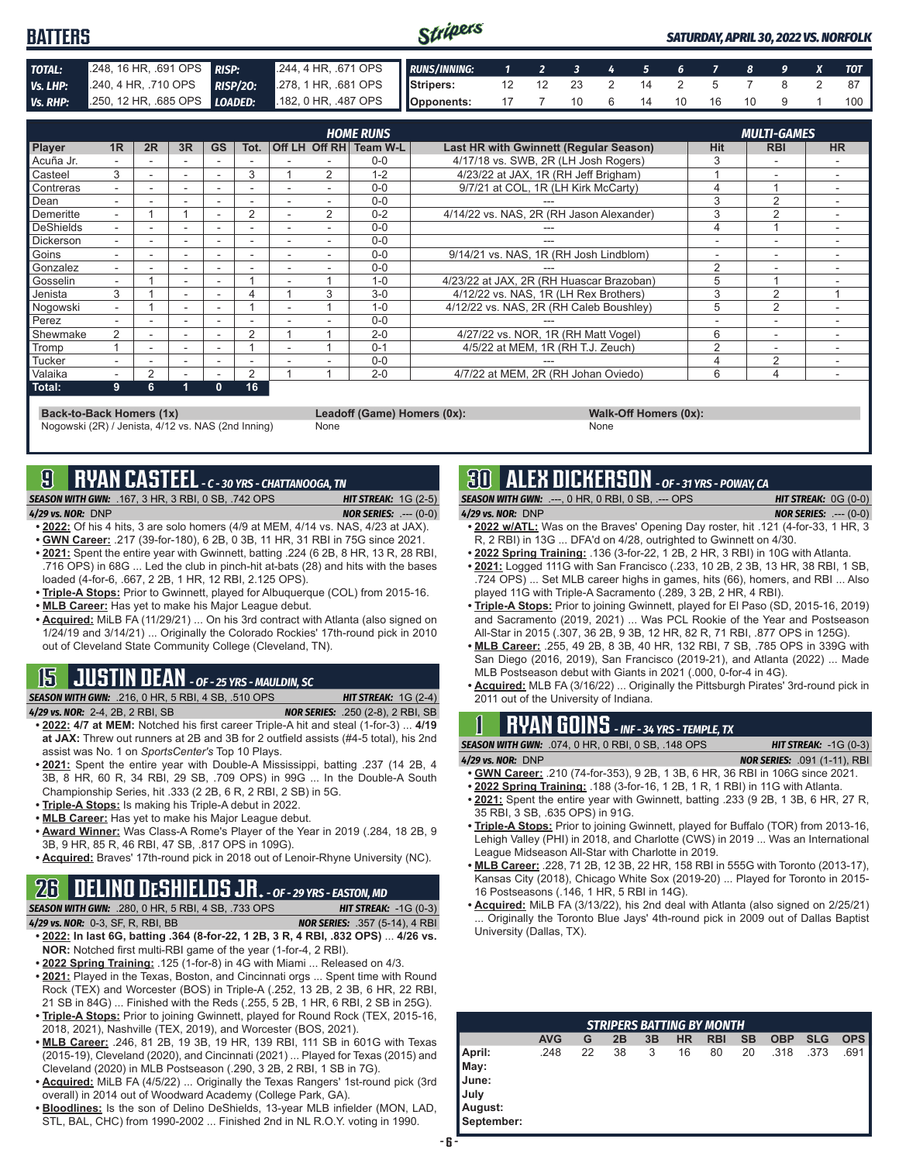| <b>BATTERS</b> |                                                                                  | Stripers                                                |  |  |  |  |                         | <b>SATURDAY, APRIL 30, 2022 VS. NORFOLK</b> |      |
|----------------|----------------------------------------------------------------------------------|---------------------------------------------------------|--|--|--|--|-------------------------|---------------------------------------------|------|
| TOTAL:         | 248, 16 HR, 691 OPS RISP:                                                        | 244, 4 HR, 671 OPS RUNS/INNING: 1 2 3 4 5 6 7 8 9 X TOT |  |  |  |  |                         |                                             |      |
| Vs. LHP:       | 240, 4 HR, 710 OPS RISP/20: 278, 1 HR, 681 OPS Stripers: 12 12 23 2 14 2 5 7 8 2 |                                                         |  |  |  |  |                         |                                             | 87 I |
| Vs. RHP:       | 250, 12 HR, 685 OPS <b>LOADED:</b> 182, 0 HR, 487 OPS <b>Opponents:</b>          |                                                         |  |  |  |  | 17 7 10 6 14 10 16 10 9 |                                             | 100  |

|                  |                |                |                          |                          |                          |               |                          | <b>HOME RUNS</b> |                                          |                | <b>MULTI-GAMES</b>       |                          |
|------------------|----------------|----------------|--------------------------|--------------------------|--------------------------|---------------|--------------------------|------------------|------------------------------------------|----------------|--------------------------|--------------------------|
| Player           | 1R             | 2R             | 3R                       | <b>GS</b>                | Tot.                     | Off LH Off RH |                          | Team W-L         | Last HR with Gwinnett (Regular Season)   | <b>Hit</b>     | <b>RBI</b>               | <b>HR</b>                |
| Acuña Jr.        |                |                |                          |                          |                          |               |                          | $0 - 0$          | 4/17/18 vs. SWB, 2R (LH Josh Rogers)     | 3              | -                        |                          |
| Casteel          | 3              |                | ۰                        | ۰                        | 3                        |               | 2                        | $1 - 2$          | 4/23/22 at JAX, 1R (RH Jeff Brigham)     |                | $\overline{\phantom{a}}$ |                          |
| Contreras        | ۰.             |                |                          |                          |                          |               |                          | $0 - 0$          | 9/7/21 at COL, 1R (LH Kirk McCarty)      | 4              |                          |                          |
| Dean             |                |                |                          |                          |                          |               |                          | $0 - 0$          |                                          | 3              | 2                        |                          |
| Demeritte        |                |                |                          |                          | 2                        |               | $\overline{2}$           | $0 - 2$          | 4/14/22 vs. NAS, 2R (RH Jason Alexander) | 3              | $\overline{2}$           |                          |
| DeShields        | ۰.             | ٠              | $\overline{\phantom{a}}$ | $\overline{\phantom{a}}$ | ۰.                       | ۰             | $\overline{\phantom{0}}$ | $0 - 0$          |                                          | 4              |                          | $\overline{\phantom{a}}$ |
| <b>Dickerson</b> | ۰.             | ٠              | ٠                        | ٠                        | $\overline{\phantom{a}}$ | ٠             |                          | $0 - 0$          |                                          | ۰              | $\overline{\phantom{a}}$ |                          |
| Goins            |                |                | $\overline{\phantom{a}}$ |                          | ۰.                       |               |                          | $0 - 0$          | 9/14/21 vs. NAS, 1R (RH Josh Lindblom)   |                | $\overline{\phantom{0}}$ |                          |
| Gonzalez         |                |                | $\overline{\phantom{a}}$ |                          |                          |               |                          | $0 - 0$          |                                          | $\overline{2}$ | ٠                        |                          |
| Gosselin         | ۰.             |                | ٠                        |                          |                          | ۰             |                          | $1 - 0$          | 4/23/22 at JAX, 2R (RH Huascar Brazoban) | 5              |                          |                          |
| Jenista          | 3              |                | $\overline{\phantom{a}}$ |                          | 4                        |               | 3                        | $3-0$            | 4/12/22 vs. NAS, 1R (LH Rex Brothers)    | 3              | 2                        |                          |
| Nogowski         | ۰.             |                | $\overline{\phantom{a}}$ | $\overline{\phantom{a}}$ |                          |               |                          | $1 - 0$          | 4/12/22 vs. NAS, 2R (RH Caleb Boushley)  | 5              | $\overline{2}$           |                          |
| Perez            |                |                | $\overline{\phantom{a}}$ |                          |                          |               |                          | $0 - 0$          |                                          | -              | ٠                        |                          |
| Shewmake         | $\overline{2}$ |                | ٠                        | $\overline{\phantom{0}}$ | 2                        |               |                          | $2 - 0$          | 4/27/22 vs. NOR, 1R (RH Matt Vogel)      | 6              | ۰                        |                          |
| Tromp            |                | ۰.             | $\overline{\phantom{a}}$ | ۰                        |                          |               |                          | $0 - 1$          | 4/5/22 at MEM, 1R (RH T.J. Zeuch)        | 2              | ۰                        |                          |
| <b>Tucker</b>    |                |                | ۰                        |                          | -                        |               |                          | $0 - 0$          |                                          |                | 2                        | $\overline{\phantom{a}}$ |
| Valaika          |                | $\mathfrak{p}$ |                          |                          | $\overline{2}$           |               |                          | $2 - 0$          | 4/7/22 at MEM. 2R (RH Johan Oviedo)      | 6              | 4                        |                          |
| Total:           | 9              | 6              |                          | $\mathbf{0}$             | 16                       |               |                          |                  |                                          |                |                          |                          |

**Back-to-Back Homers (1x) Leadoff (Game) Homers (0x): Walk-Off Homers (0x):**<br>Nogowski (2R) / Jenista 4/12 vs. NAS (2nd Inning) Mone Nogowski (2R) / Jenista, 4/12 vs. NAS (2nd Inning)

**9 RYAN CASTEEL** *- C - 30 YRS - CHATTANOOGA, TN*

*SEASON WITH GWN:*.167, 3 HR, 3 RBI, 0 SB, .742 OPS *HIT STREAK:* 1G (2-5)

*4/29 vs. NOR:*DNP *NOR SERIES:* .--- (0-0)

- **• 2022:** Of his 4 hits, 3 are solo homers (4/9 at MEM, 4/14 vs. NAS, 4/23 at JAX).
- **• GWN Career:** .217 (39-for-180), 6 2B, 0 3B, 11 HR, 31 RBI in 75G since 2021. **• 2021:** Spent the entire year with Gwinnett, batting .224 (6 2B, 8 HR, 13 R, 28 RBI, .716 OPS) in 68G ... Led the club in pinch-hit at-bats (28) and hits with the bases loaded (4-for-6, .667, 2 2B, 1 HR, 12 RBI, 2.125 OPS).
- **• Triple-A Stops:** Prior to Gwinnett, played for Albuquerque (COL) from 2015-16.
- **• MLB Career:** Has yet to make his Major League debut.
- **• Acquired:** MiLB FA (11/29/21) ... On his 3rd contract with Atlanta (also signed on 1/24/19 and 3/14/21) ... Originally the Colorado Rockies' 17th-round pick in 2010 out of Cleveland State Community College (Cleveland, TN).

## **15 JUSTIN DEAN** *- OF - 25 YRS - MAULDIN, SC*

*SEASON WITH GWN:*.216, 0 HR, 5 RBI, 4 SB, .510 OPS *HIT STREAK:* 1G (2-4)

- *4/29 vs. NOR:*2-4, 2B, 2 RBI, SB *NOR SERIES:* .250 (2-8), 2 RBI, SB **• 2022: 4/7 at MEM:** Notched his first career Triple-A hit and steal (1-for-3) ... **4/19 at JAX:** Threw out runners at 2B and 3B for 2 outfield assists (#4-5 total), his 2nd assist was No. 1 on *SportsCenter's* Top 10 Plays.
- **• 2021:** Spent the entire year with Double-A Mississippi, batting .237 (14 2B, 4 3B, 8 HR, 60 R, 34 RBI, 29 SB, .709 OPS) in 99G ... In the Double-A South Championship Series, hit .333 (2 2B, 6 R, 2 RBI, 2 SB) in 5G.
- **• Triple-A Stops:** Is making his Triple-A debut in 2022.
- **• MLB Career:** Has yet to make his Major League debut.
- **• Award Winner:** Was Class-A Rome's Player of the Year in 2019 (.284, 18 2B, 9 3B, 9 HR, 85 R, 46 RBI, 47 SB, .817 OPS in 109G).
- **• Acquired:** Braves' 17th-round pick in 2018 out of Lenoir-Rhyne University (NC).

## **26 DELINO DESHIELDS JR.** *- OF - 29 YRS - EASTON, MD*

- *SEASON WITH GWN:*.280, 0 HR, 5 RBI, 4 SB, .733 OPS *HIT STREAK:* -1G (0-3) *4/29 vs. NOR:*0-3, SF, R, RBI, BB *NOR SERIES:* .357 (5-14), 4 RBI
- **• 2022: In last 6G, batting .364 (8-for-22, 1 2B, 3 R, 4 RBI, .832 OPS)** ... **4/26 vs. NOR:** Notched first multi-RBI game of the year (1-for-4, 2 RBI).
- **• 2022 Spring Training:** .125 (1-for-8) in 4G with Miami ... Released on 4/3.
- **• 2021:** Played in the Texas, Boston, and Cincinnati orgs ... Spent time with Round Rock (TEX) and Worcester (BOS) in Triple-A (.252, 13 2B, 2 3B, 6 HR, 22 RBI, 21 SB in 84G) ... Finished with the Reds (.255, 5 2B, 1 HR, 6 RBI, 2 SB in 25G).
- **• Triple-A Stops:** Prior to joining Gwinnett, played for Round Rock (TEX, 2015-16, 2018, 2021), Nashville (TEX, 2019), and Worcester (BOS, 2021).
- **• MLB Career:** .246, 81 2B, 19 3B, 19 HR, 139 RBI, 111 SB in 601G with Texas (2015-19), Cleveland (2020), and Cincinnati (2021) ... Played for Texas (2015) and Cleveland (2020) in MLB Postseason (.290, 3 2B, 2 RBI, 1 SB in 7G).
- **• Acquired:** MiLB FA (4/5/22) ... Originally the Texas Rangers' 1st-round pick (3rd overall) in 2014 out of Woodward Academy (College Park, GA).
- **• Bloodlines:** Is the son of Delino DeShields, 13-year MLB infielder (MON, LAD, STL, BAL, CHC) from 1990-2002 ... Finished 2nd in NL R.O.Y. voting in 1990.

## **30 ALEX DICKERSON** *- OF - 31 YRS - POWAY, CA*

*SEASON WITH GWN:*.---, 0 HR, 0 RBI, 0 SB, .--- OPS *HIT STREAK:* 0G (0-0) *4/29 vs. NOR:*DNP *NOR SERIES:* .--- (0-0)

- 
- **• 2022 w/ATL:** Was on the Braves' Opening Day roster, hit .121 (4-for-33, 1 HR, 3 R, 2 RBI) in 13G ... DFA'd on 4/28, outrighted to Gwinnett on 4/30.
- **• 2022 Spring Training:** .136 (3-for-22, 1 2B, 2 HR, 3 RBI) in 10G with Atlanta. **• 2021:** Logged 111G with San Francisco (.233, 10 2B, 2 3B, 13 HR, 38 RBI, 1 SB,
- .724 OPS) ... Set MLB career highs in games, hits (66), homers, and RBI ... Also played 11G with Triple-A Sacramento (.289, 3 2B, 2 HR, 4 RBI).
- **• Triple-A Stops:** Prior to joining Gwinnett, played for El Paso (SD, 2015-16, 2019) and Sacramento (2019, 2021) ... Was PCL Rookie of the Year and Postseason All-Star in 2015 (.307, 36 2B, 9 3B, 12 HR, 82 R, 71 RBI, .877 OPS in 125G).
- **• MLB Career:** .255, 49 2B, 8 3B, 40 HR, 132 RBI, 7 SB, .785 OPS in 339G with San Diego (2016, 2019), San Francisco (2019-21), and Atlanta (2022) ... Made MLB Postseason debut with Giants in 2021 (.000, 0-for-4 in 4G).
- **• Acquired:** MLB FA (3/16/22) ... Originally the Pittsburgh Pirates' 3rd-round pick in 2011 out of the University of Indiana.

### **1 RYAN GOINS** *- INF - 34 YRS - TEMPLE, TX SEASON WITH GWN:*.074, 0 HR, 0 RBI, 0 SB, .148 OPS *HIT STREAK:* -1G (0-3)

- *4/29 vs. NOR:*DNP *NOR SERIES:* .091 (1-11), RBI **• GWN Career:** .210 (74-for-353), 9 2B, 1 3B, 6 HR, 36 RBI in 106G since 2021.
- **• 2022 Spring Training:** .188 (3-for-16, 1 2B, 1 R, 1 RBI) in 11G with Atlanta.
- **• 2021:** Spent the entire year with Gwinnett, batting .233 (9 2B, 1 3B, 6 HR, 27 R, 35 RBI, 3 SB, .635 OPS) in 91G.
- **• Triple-A Stops:** Prior to joining Gwinnett, played for Buffalo (TOR) from 2013-16, Lehigh Valley (PHI) in 2018, and Charlotte (CWS) in 2019 ... Was an International League Midseason All-Star with Charlotte in 2019.
- **• MLB Career:** .228, 71 2B, 12 3B, 22 HR, 158 RBI in 555G with Toronto (2013-17), Kansas City (2018), Chicago White Sox (2019-20) ... Played for Toronto in 2015- 16 Postseasons (.146, 1 HR, 5 RBI in 14G).
- **• Acquired:** MiLB FA (3/13/22), his 2nd deal with Atlanta (also signed on 2/25/21) ... Originally the Toronto Blue Jays' 4th-round pick in 2009 out of Dallas Baptist University (Dallas, TX).

|                                                                                |            |    |    |    |    | <b>STRIPERS BATTING BY MONTH</b> |           |            |            |            |
|--------------------------------------------------------------------------------|------------|----|----|----|----|----------------------------------|-----------|------------|------------|------------|
|                                                                                | <b>AVG</b> | G  | 2B | 3B | HR | <b>RBI</b>                       | <b>SB</b> | <b>OBP</b> | <b>SLG</b> | <b>OPS</b> |
| April:<br>$\blacksquare$ May:<br>June:<br><b>July</b><br>August:<br>September: | .248       | 22 | 38 | 3  | 16 | 80                               | 20        | .318       | .373       | .691       |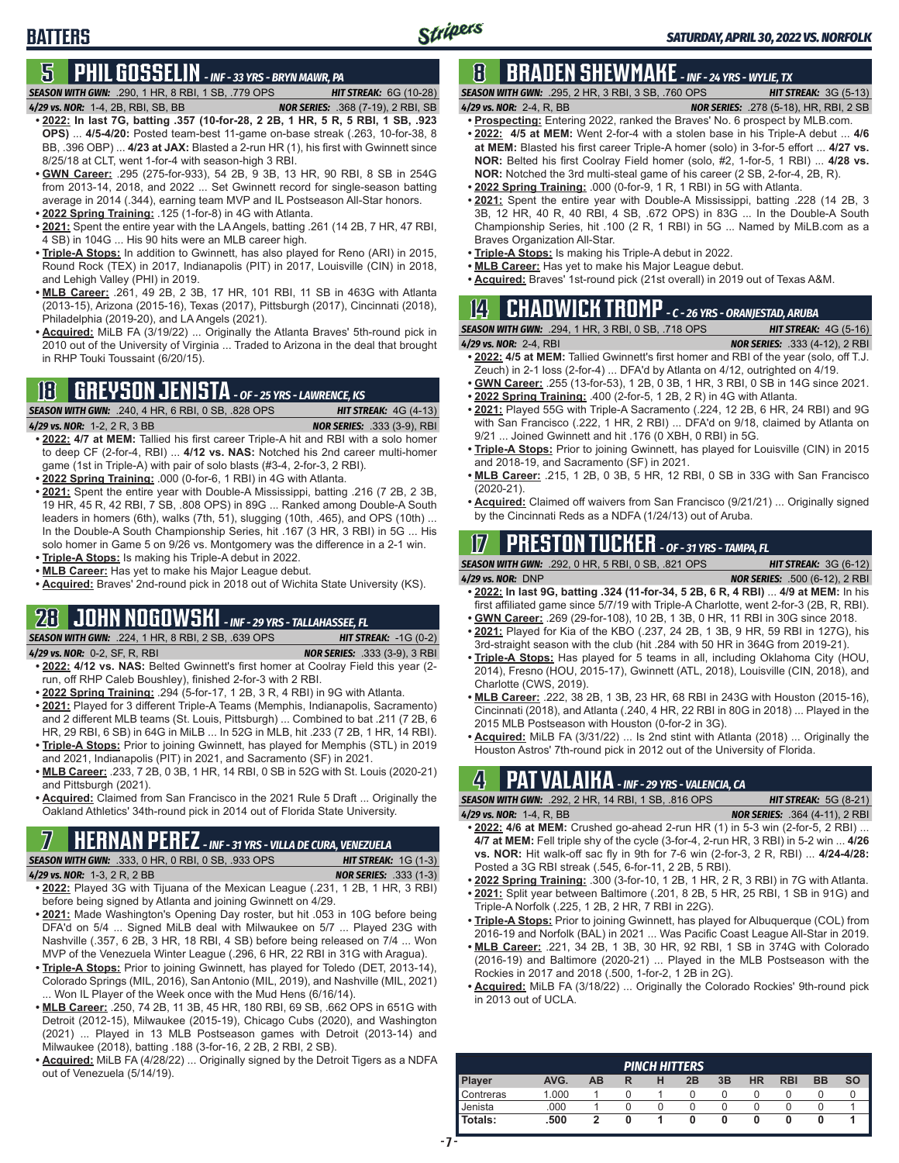## **5 PHIL GOSSELIN** *- INF - 33 YRS - BRYN MAWR, PA*

*SEASON WITH GWN:*.290, 1 HR, 8 RBI, 1 SB, .779 OPS *HIT STREAK:* 6G (10-28)

**BATTERS**

- *4/29 vs. NOR:*1-4, 2B, RBI, SB, BB *NOR SERIES:* .368 (7-19), 2 RBI, SB **• 2022: In last 7G, batting .357 (10-for-28, 2 2B, 1 HR, 5 R, 5 RBI, 1 SB, .923 OPS)** ... **4/5-4/20:** Posted team-best 11-game on-base streak (.263, 10-for-38, 8 BB, .396 OBP) ... **4/23 at JAX:** Blasted a 2-run HR (1), his first with Gwinnett since 8/25/18 at CLT, went 1-for-4 with season-high 3 RBI.
- **• GWN Career:** .295 (275-for-933), 54 2B, 9 3B, 13 HR, 90 RBI, 8 SB in 254G from 2013-14, 2018, and 2022 ... Set Gwinnett record for single-season batting average in 2014 (.344), earning team MVP and IL Postseason All-Star honors.
- **• 2022 Spring Training:** .125 (1-for-8) in 4G with Atlanta.
- **• 2021:** Spent the entire year with the LA Angels, batting .261 (14 2B, 7 HR, 47 RBI, 4 SB) in 104G ... His 90 hits were an MLB career high.
- **• Triple-A Stops:** In addition to Gwinnett, has also played for Reno (ARI) in 2015, Round Rock (TEX) in 2017, Indianapolis (PIT) in 2017, Louisville (CIN) in 2018, and Lehigh Valley (PHI) in 2019.
- **• MLB Career:** .261, 49 2B, 2 3B, 17 HR, 101 RBI, 11 SB in 463G with Atlanta (2013-15), Arizona (2015-16), Texas (2017), Pittsburgh (2017), Cincinnati (2018), Philadelphia (2019-20), and LA Angels (2021).
- **• Acquired:** MiLB FA (3/19/22) ... Originally the Atlanta Braves' 5th-round pick in 2010 out of the University of Virginia ... Traded to Arizona in the deal that brought in RHP Touki Toussaint (6/20/15).

## **18 GREYSON JENISTA** *- OF - 25 YRS - LAWRENCE, KS*

*SEASON WITH GWN:*.240, 4 HR, 6 RBI, 0 SB, .828 OPS *HIT STREAK:* 4G (4-13) *4/29 vs. NOR:*1-2, 2 R, 3 BB *NOR SERIES:* .333 (3-9), RBI

- **• 2022: 4/7 at MEM:** Tallied his first career Triple-A hit and RBI with a solo homer to deep CF (2-for-4, RBI) ... **4/12 vs. NAS:** Notched his 2nd career multi-homer game (1st in Triple-A) with pair of solo blasts (#3-4, 2-for-3, 2 RBI).
- **• 2022 Spring Training:** .000 (0-for-6, 1 RBI) in 4G with Atlanta.
- **• 2021:** Spent the entire year with Double-A Mississippi, batting .216 (7 2B, 2 3B, 19 HR, 45 R, 42 RBI, 7 SB, .808 OPS) in 89G ... Ranked among Double-A South leaders in homers (6th), walks (7th, 51), slugging (10th, .465), and OPS (10th) ... In the Double-A South Championship Series, hit .167 (3 HR, 3 RBI) in 5G ... His solo homer in Game 5 on 9/26 vs. Montgomery was the difference in a 2-1 win.
- **• Triple-A Stops:** Is making his Triple-A debut in 2022.
- **• MLB Career:** Has yet to make his Major League debut.
- **• Acquired:** Braves' 2nd-round pick in 2018 out of Wichita State University (KS).

## **28 JOHN NOGOWSKI** *- INF - 29 YRS - TALLAHASSEE, FL*

*SEASON WITH GWN:*.224, 1 HR, 8 RBI, 2 SB, .639 OPS *HIT STREAK:* -1G (0-2)

*4/29 vs. NOR:*0-2, SF, R, RBI *NOR SERIES:* .333 (3-9), 3 RBI

- **• 2022: 4/12 vs. NAS:** Belted Gwinnett's first homer at Coolray Field this year (2 run, off RHP Caleb Boushley), finished 2-for-3 with 2 RBI.
- **• 2022 Spring Training:** .294 (5-for-17, 1 2B, 3 R, 4 RBI) in 9G with Atlanta.
- **• 2021:** Played for 3 different Triple-A Teams (Memphis, Indianapolis, Sacramento) and 2 different MLB teams (St. Louis, Pittsburgh) ... Combined to bat .211 (7 2B, 6 HR, 29 RBI, 6 SB) in 64G in MiLB ... In 52G in MLB, hit .233 (7 2B, 1 HR, 14 RBI).
- **• Triple-A Stops:** Prior to joining Gwinnett, has played for Memphis (STL) in 2019 and 2021, Indianapolis (PIT) in 2021, and Sacramento (SF) in 2021.
- **• MLB Career:** .233, 7 2B, 0 3B, 1 HR, 14 RBI, 0 SB in 52G with St. Louis (2020-21) and Pittsburgh (2021).
- **• Acquired:** Claimed from San Francisco in the 2021 Rule 5 Draft ... Originally the Oakland Athletics' 34th-round pick in 2014 out of Florida State University.

## **7 HERNAN PEREZ** *- INF - 31 YRS - VILLA DE CURA, VENEZUELA*

|                              |          | <b>SEASON WITH GWN:</b> .333.0 HR.0 RBI.0 SB. .933 OPS . | <b>HIT STREAK:</b> $1G(1-3)$  |
|------------------------------|----------|----------------------------------------------------------|-------------------------------|
| 4/29 vs. NOR: 1-3, 2 R, 2 BB |          |                                                          | <b>NOR SERIES:</b> .333 (1-3) |
|                              | $\cdots$ |                                                          | $\sqrt{2}$                    |

- **• 2022:** Played 3G with Tijuana of the Mexican League (.231, 1 2B, 1 HR, 3 RBI) before being signed by Atlanta and joining Gwinnett on 4/29.
- **• 2021:** Made Washington's Opening Day roster, but hit .053 in 10G before being DFA'd on 5/4 ... Signed MiLB deal with Milwaukee on 5/7 ... Played 23G with Nashville (.357, 6 2B, 3 HR, 18 RBI, 4 SB) before being released on 7/4 ... Won MVP of the Venezuela Winter League (.296, 6 HR, 22 RBI in 31G with Aragua).
- **• Triple-A Stops:** Prior to joining Gwinnett, has played for Toledo (DET, 2013-14), Colorado Springs (MIL, 2016), San Antonio (MIL, 2019), and Nashville (MIL, 2021) ... Won IL Player of the Week once with the Mud Hens (6/16/14).
- **• MLB Career:** .250, 74 2B, 11 3B, 45 HR, 180 RBI, 69 SB, .662 OPS in 651G with Detroit (2012-15), Milwaukee (2015-19), Chicago Cubs (2020), and Washington (2021) ... Played in 13 MLB Postseason games with Detroit (2013-14) and Milwaukee (2018), batting .188 (3-for-16, 2 2B, 2 RBI, 2 SB).
- **• Acquired:** MiLB FA (4/28/22) ... Originally signed by the Detroit Tigers as a NDFA out of Venezuela (5/14/19).

## **8 BRADEN SHEWMAKE** *- INF - 24 YRS - WYLIE, TX*

*SEASON WITH GWN:*.295, 2 HR, 3 RBI, 3 SB, .760 OPS *HIT STREAK:* 3G (5-13)

- *4/29 vs. NOR:*2-4, R, BB *NOR SERIES:* .278 (5-18), HR, RBI, 2 SB
- **• Prospecting:** Entering 2022, ranked the Braves' No. 6 prospect by MLB.com. **• 2022: 4/5 at MEM:** Went 2-for-4 with a stolen base in his Triple-A debut ... **4/6 at MEM:** Blasted his first career Triple-A homer (solo) in 3-for-5 effort ... **4/27 vs. NOR:** Belted his first Coolray Field homer (solo, #2, 1-for-5, 1 RBI) ... **4/28 vs. NOR:** Notched the 3rd multi-steal game of his career (2 SB, 2-for-4, 2B, R).
- **• 2022 Spring Training:** .000 (0-for-9, 1 R, 1 RBI) in 5G with Atlanta.
- **• 2021:** Spent the entire year with Double-A Mississippi, batting .228 (14 2B, 3 3B, 12 HR, 40 R, 40 RBI, 4 SB, .672 OPS) in 83G ... In the Double-A South Championship Series, hit .100 (2 R, 1 RBI) in 5G ... Named by MiLB.com as a Braves Organization All-Star.
- **• Triple-A Stops:** Is making his Triple-A debut in 2022.
- **• MLB Career:** Has yet to make his Major League debut.
- **• Acquired:** Braves' 1st-round pick (21st overall) in 2019 out of Texas A&M.

## **14 CHADWICK TROMP** *- C - 26 YRS - ORANJESTAD, ARUBA*

*SEASON WITH GWN:*.294, 1 HR, 3 RBI, 0 SB, .718 OPS *HIT STREAK:* 4G (5-16)

*4/29 vs. NOR:*2-4, RBI *NOR SERIES:* .333 (4-12), 2 RBI

- **• 2022: 4/5 at MEM:** Tallied Gwinnett's first homer and RBI of the year (solo, off T.J. Zeuch) in 2-1 loss (2-for-4) ... DFA'd by Atlanta on 4/12, outrighted on 4/19.
- **• GWN Career:** .255 (13-for-53), 1 2B, 0 3B, 1 HR, 3 RBI, 0 SB in 14G since 2021.
- **• 2022 Spring Training:** .400 (2-for-5, 1 2B, 2 R) in 4G with Atlanta. **• 2021:** Played 55G with Triple-A Sacramento (.224, 12 2B, 6 HR, 24 RBI) and 9G with San Francisco (.222, 1 HR, 2 RBI) ... DFA'd on 9/18, claimed by Atlanta on 9/21 ... Joined Gwinnett and hit .176 (0 XBH, 0 RBI) in 5G.
- **• Triple-A Stops:** Prior to joining Gwinnett, has played for Louisville (CIN) in 2015 and 2018-19, and Sacramento (SF) in 2021.
- **• MLB Career:** .215, 1 2B, 0 3B, 5 HR, 12 RBI, 0 SB in 33G with San Francisco (2020-21).
- **• Acquired:** Claimed off waivers from San Francisco (9/21/21) ... Originally signed by the Cincinnati Reds as a NDFA (1/24/13) out of Aruba.

## **17 PRESTON TUCKER** *- OF - 31 YRS - TAMPA, FL*

*SEASON WITH GWN:*.292, 0 HR, 5 RBI, 0 SB, .821 OPS *HIT STREAK:* 3G (6-12)

- *4/29 vs. NOR:*DNP *NOR SERIES:* .500 (6-12), 2 RBI **• 2022: In last 9G, batting .324 (11-for-34, 5 2B, 6 R, 4 RBI)** ... **4/9 at MEM:** In his first affiliated game since 5/7/19 with Triple-A Charlotte, went 2-for-3 (2B, R, RBI).
- **• GWN Career:** .269 (29-for-108), 10 2B, 1 3B, 0 HR, 11 RBI in 30G since 2018. **• 2021:** Played for Kia of the KBO (.237, 24 2B, 1 3B, 9 HR, 59 RBI in 127G), his
- 3rd-straight season with the club (hit .284 with 50 HR in 364G from 2019-21). **• Triple-A Stops:** Has played for 5 teams in all, including Oklahoma City (HOU,
- 2014), Fresno (HOU, 2015-17), Gwinnett (ATL, 2018), Louisville (CIN, 2018), and Charlotte (CWS, 2019).
- **• MLB Career:** .222, 38 2B, 1 3B, 23 HR, 68 RBI in 243G with Houston (2015-16), Cincinnati (2018), and Atlanta (.240, 4 HR, 22 RBI in 80G in 2018) ... Played in the 2015 MLB Postseason with Houston (0-for-2 in 3G).
- **• Acquired:** MiLB FA (3/31/22) ... Is 2nd stint with Atlanta (2018) ... Originally the Houston Astros' 7th-round pick in 2012 out of the University of Florida.

## **4 PAT VALAIKA** *- INF - 29 YRS - VALENCIA, CA*

*SEASON WITH GWN:*.292, 2 HR, 14 RBI, 1 SB, .816 OPS *HIT STREAK:* 5G (8-21) *4/29 vs. NOR:*1-4, R, BB *NOR SERIES:* .364 (4-11), 2 RBI

- **• 2022: 4/6 at MEM:** Crushed go-ahead 2-run HR (1) in 5-3 win (2-for-5, 2 RBI) ... **4/7 at MEM:** Fell triple shy of the cycle (3-for-4, 2-run HR, 3 RBI) in 5-2 win ... **4/26 vs. NOR:** Hit walk-off sac fly in 9th for 7-6 win (2-for-3, 2 R, RBI) ... **4/24-4/28:** Posted a 3G RBI streak (.545, 6-for-11, 2 2B, 5 RBI).
- **• 2022 Spring Training:** .300 (3-for-10, 1 2B, 1 HR, 2 R, 3 RBI) in 7G with Atlanta. **• 2021:** Split year between Baltimore (.201, 8 2B, 5 HR, 25 RBI, 1 SB in 91G) and Triple-A Norfolk (.225, 1 2B, 2 HR, 7 RBI in 22G).
- **• Triple-A Stops:** Prior to joining Gwinnett, has played for Albuquerque (COL) from 2016-19 and Norfolk (BAL) in 2021 ... Was Pacific Coast League All-Star in 2019.
- **• MLB Career:** .221, 34 2B, 1 3B, 30 HR, 92 RBI, 1 SB in 374G with Colorado (2016-19) and Baltimore (2020-21) ... Played in the MLB Postseason with the Rockies in 2017 and 2018 (.500, 1-for-2, 1 2B in 2G).
- **• Acquired:** MiLB FA (3/18/22) ... Originally the Colorado Rockies' 9th-round pick in 2013 out of UCLA.

| <b>PINCH HITTERS</b> |       |    |  |  |    |    |           |            |    |    |
|----------------------|-------|----|--|--|----|----|-----------|------------|----|----|
| Player               | AVG.  | AB |  |  | 2B | 3B | <b>HR</b> | <b>RBI</b> | BB | sc |
| Contreras            | 1.000 |    |  |  |    | U  |           |            |    |    |
| Jenista              | .000  |    |  |  |    |    |           |            |    |    |
| Totals:              | .500  |    |  |  |    | 0  |           |            |    |    |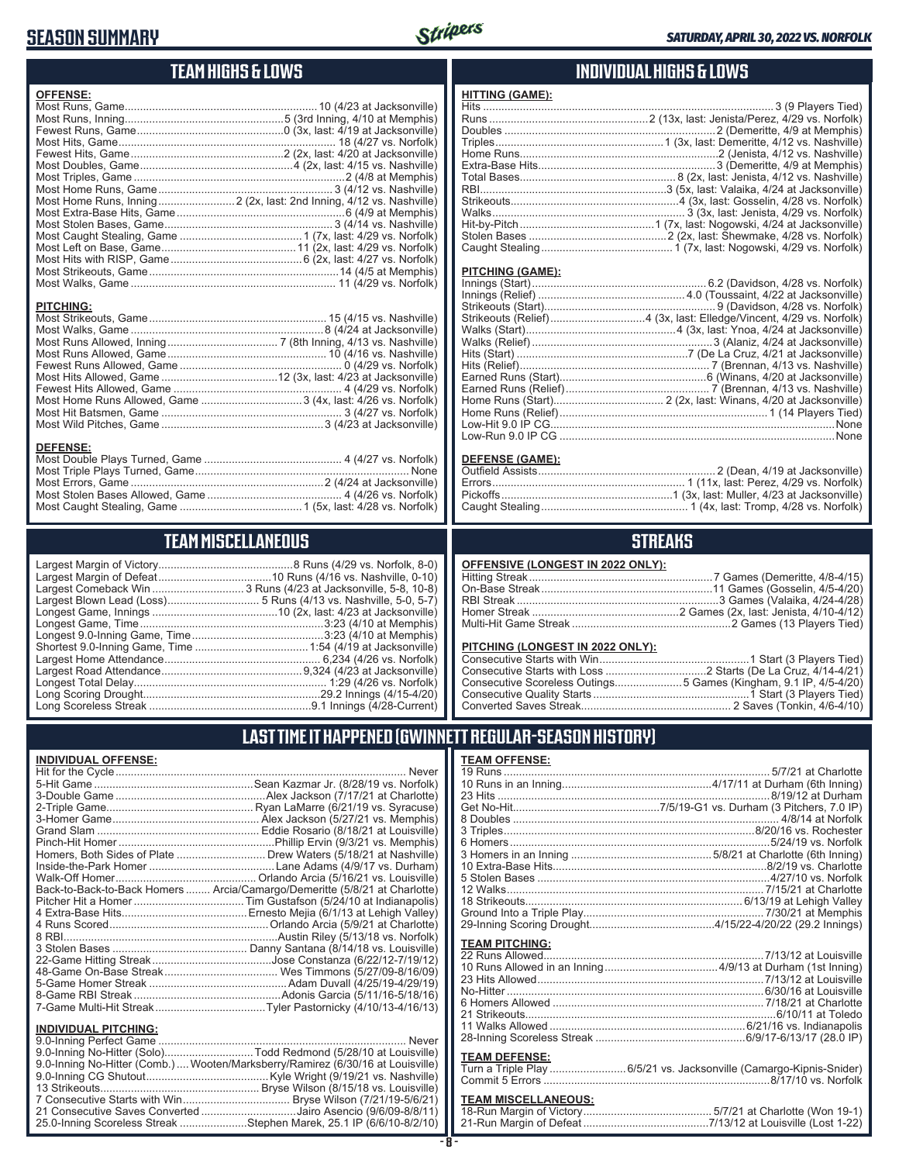## **SEASON SUMMARY**



### **TEAM HIGHS & LOWS**

| <b>OFFENSE:</b> |                                                                     |
|-----------------|---------------------------------------------------------------------|
|                 |                                                                     |
|                 |                                                                     |
|                 |                                                                     |
|                 |                                                                     |
|                 |                                                                     |
|                 |                                                                     |
|                 |                                                                     |
|                 |                                                                     |
|                 | Most Home Runs, Inning 2 (2x, last: 2nd Inning, 4/12 vs. Nashville) |
|                 |                                                                     |
|                 |                                                                     |
|                 |                                                                     |
|                 |                                                                     |
|                 |                                                                     |
|                 |                                                                     |
|                 |                                                                     |

#### **PITCHING:**

#### **DEFENSE:**

## **TEAM MISCELLANEOUS**

| Largest Comeback Win  3 Runs (4/23 at Jacksonville, 5-8, 10-8) |  |
|----------------------------------------------------------------|--|
|                                                                |  |
|                                                                |  |
|                                                                |  |
|                                                                |  |
|                                                                |  |
|                                                                |  |
|                                                                |  |
|                                                                |  |
|                                                                |  |
|                                                                |  |

## **INDIVIDUAL HIGHS & LOWS**

| <b>HITTING (GAME):</b> |  |
|------------------------|--|
|                        |  |
|                        |  |
|                        |  |
|                        |  |
|                        |  |
|                        |  |
|                        |  |
|                        |  |
|                        |  |
|                        |  |
|                        |  |
|                        |  |
|                        |  |
|                        |  |

#### **PITCHING (GAME):**

#### **DEFENSE (GAME):**

### **STREAKS**

#### **PITCHING (LONGEST IN 2022 ONLY):**

Multi-Hit Game Streak ....................................................2 Games (13 Players Tied)

### **LAST TIME IT HAPPENED (GWINNETT REGULAR-SEASON HISTORY) TEAM OFFENSE:**

|                                                                     | <u>ILAM UITLIVUL.</u> |                                                                     |
|---------------------------------------------------------------------|-----------------------|---------------------------------------------------------------------|
|                                                                     |                       |                                                                     |
| Sean Kazmar Jr. (8/28/19 vs. Norfolk)                               |                       |                                                                     |
|                                                                     |                       |                                                                     |
| Ryan LaMarre (6/21/19 vs. Syracuse)                                 |                       |                                                                     |
| Alex Jackson (5/27/21 vs. Memphis)                                  |                       |                                                                     |
| Eddie Rosario (8/18/21 at Louisville)                               |                       |                                                                     |
| Phillip Ervin (9/3/21 vs. Memphis)                                  |                       |                                                                     |
| Drew Waters (5/18/21 at Nashville)                                  |                       |                                                                     |
| Lane Adams (4/9/17 vs. Durham)                                      |                       |                                                                     |
| Orlando Arcia (5/16/21 vs. Louisville)                              |                       |                                                                     |
| Arcia/Camargo/Demeritte (5/8/21 at Charlotte)                       |                       |                                                                     |
| Tim Gustafson (5/24/10 at Indianapolis)                             |                       |                                                                     |
| Ernesto Mejia (6/1/13 at Lehigh Valley)                             |                       |                                                                     |
| Orlando Arcia (5/9/21 at Charlotte)                                 |                       |                                                                     |
|                                                                     |                       |                                                                     |
| Danny Santana (8/14/18 vs. Louisville)                              | <b>TEAM PITCHING:</b> |                                                                     |
| Jose Constanza (6/22/12-7/19/12)                                    |                       |                                                                     |
| Wes Timmons (5/27/09-8/16/09)                                       |                       |                                                                     |
|                                                                     |                       |                                                                     |
| Adonis Garcia (5/11/16-5/18/16)                                     |                       |                                                                     |
| Tyler Pastornicky (4/10/13-4/16/13)                                 |                       |                                                                     |
|                                                                     |                       |                                                                     |
|                                                                     |                       |                                                                     |
|                                                                     |                       |                                                                     |
| Todd Redmond (5/28/10 at Louisville)                                | <b>TEAM DEFENSE:</b>  |                                                                     |
| ooten/Marksberry/Ramirez (6/30/16 at Louisville)                    |                       | Turn a Triple Play  6/5/21 vs. Jacksonville (Camargo-Kipnis-Snider) |
| Kyle Wright (9/19/21 vs. Nashville)                                 |                       |                                                                     |
| Bryse Wilson (8/15/18 vs. Louisville)                               |                       |                                                                     |
| <b>Expresively 1992-1994</b> $\mathbb{F}$ <b>TEAM MISCELLANEOUS</b> |                       |                                                                     |

### **TEAM MISCELLANEOUS:**

| 21-Run Margin of Defeat…………………………………7/13/12 at Louisville (Lost 1-22) |  |  |
|-----------------------------------------------------------------------|--|--|

| <b>INDIVIDUAL OFFENSE:</b> |  |
|----------------------------|--|
|                            |  |

| Sean Kazmar Jr. (8/28/19 vs. Norfolk)                                      |
|----------------------------------------------------------------------------|
|                                                                            |
|                                                                            |
|                                                                            |
|                                                                            |
|                                                                            |
|                                                                            |
|                                                                            |
|                                                                            |
| Back-to-Back-to-Back Homers  Arcia/Camargo/Demeritte (5/8/21 at Charlotte) |
|                                                                            |
|                                                                            |
|                                                                            |
|                                                                            |
|                                                                            |
|                                                                            |
|                                                                            |
|                                                                            |
|                                                                            |
|                                                                            |

### **INDIVIDUAL PITCHING:**

| 9.0-Inning No-Hitter (Solo)Todd Redmond (5/28/10 at Louisville)                 |
|---------------------------------------------------------------------------------|
| 9.0-Inning No-Hitter (Comb.)  Wooten/Marksberry/Ramirez (6/30/16 at Louisville) |
|                                                                                 |
|                                                                                 |
|                                                                                 |
| 21 Consecutive Saves Converted Jairo Asencio (9/6/09-8/8/11)                    |
| 25.0-Inning Scoreless Streak Stephen Marek, 25.1 IP (6/6/10-8/2/10)             |